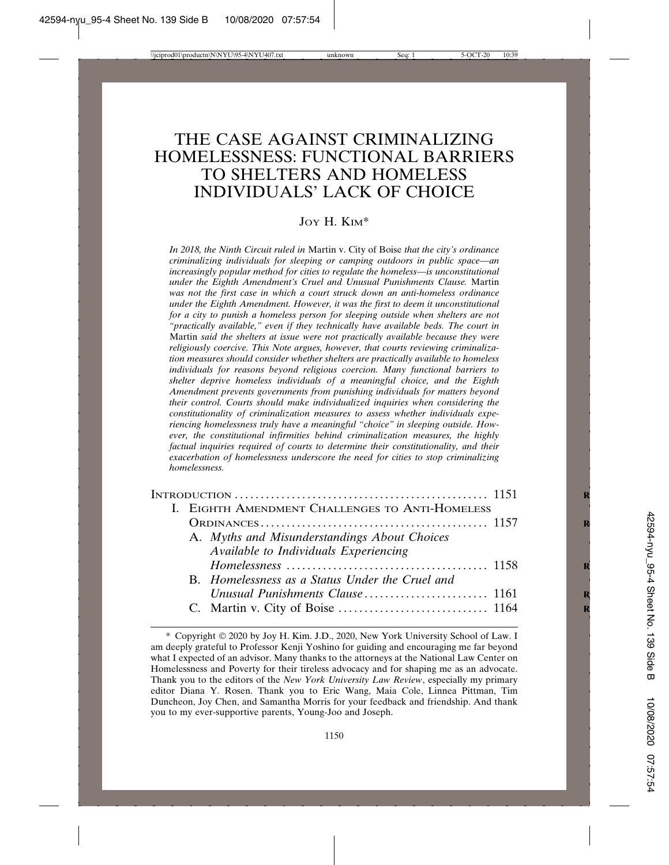# THE CASE AGAINST CRIMINALIZING HOMELESSNESS: FUNCTIONAL BARRIERS TO SHELTERS AND HOMELESS INDIVIDUALS' LACK OF CHOICE

### JOY H. KIM\*

*In 2018, the Ninth Circuit ruled in* Martin v. City of Boise *that the city's ordinance criminalizing individuals for sleeping or camping outdoors in public space—an increasingly popular method for cities to regulate the homeless—is unconstitutional under the Eighth Amendment's Cruel and Unusual Punishments Clause.* Martin *was not the first case in which a court struck down an anti-homeless ordinance under the Eighth Amendment. However, it was the first to deem it unconstitutional for a city to punish a homeless person for sleeping outside when shelters are not "practically available," even if they technically have available beds. The court in* Martin *said the shelters at issue were not practically available because they were religiously coercive. This Note argues, however, that courts reviewing criminalization measures should consider whether shelters are practically available to homeless individuals for reasons beyond religious coercion. Many functional barriers to shelter deprive homeless individuals of a meaningful choice, and the Eighth Amendment prevents governments from punishing individuals for matters beyond their control. Courts should make individualized inquiries when considering the constitutionality of criminalization measures to assess whether individuals experiencing homelessness truly have a meaningful "choice" in sleeping outside. However, the constitutional infirmities behind criminalization measures, the highly factual inquiries required of courts to determine their constitutionality, and their exacerbation of homelessness underscore the need for cities to stop criminalizing homelessness.*

|  |  | Available to Individuals Experiencing |                                                                                                                                                    |  |
|--|--|---------------------------------------|----------------------------------------------------------------------------------------------------------------------------------------------------|--|
|  |  |                                       |                                                                                                                                                    |  |
|  |  |                                       |                                                                                                                                                    |  |
|  |  |                                       |                                                                                                                                                    |  |
|  |  |                                       |                                                                                                                                                    |  |
|  |  |                                       | I. EIGHTH AMENDMENT CHALLENGES TO ANTI-HOMELESS<br>A. Myths and Misunderstandings About Choices<br>B. Homelessness as a Status Under the Cruel and |  |

<sup>\*</sup> Copyright 2020 by Joy H. Kim. J.D., 2020, New York University School of Law. I am deeply grateful to Professor Kenji Yoshino for guiding and encouraging me far beyond what I expected of an advisor. Many thanks to the attorneys at the National Law Center on Homelessness and Poverty for their tireless advocacy and for shaping me as an advocate. Thank you to the editors of the *New York University Law Review*, especially my primary editor Diana Y. Rosen. Thank you to Eric Wang, Maia Cole, Linnea Pittman, Tim Duncheon, Joy Chen, and Samantha Morris for your feedback and friendship. And thank you to my ever-supportive parents, Young-Joo and Joseph.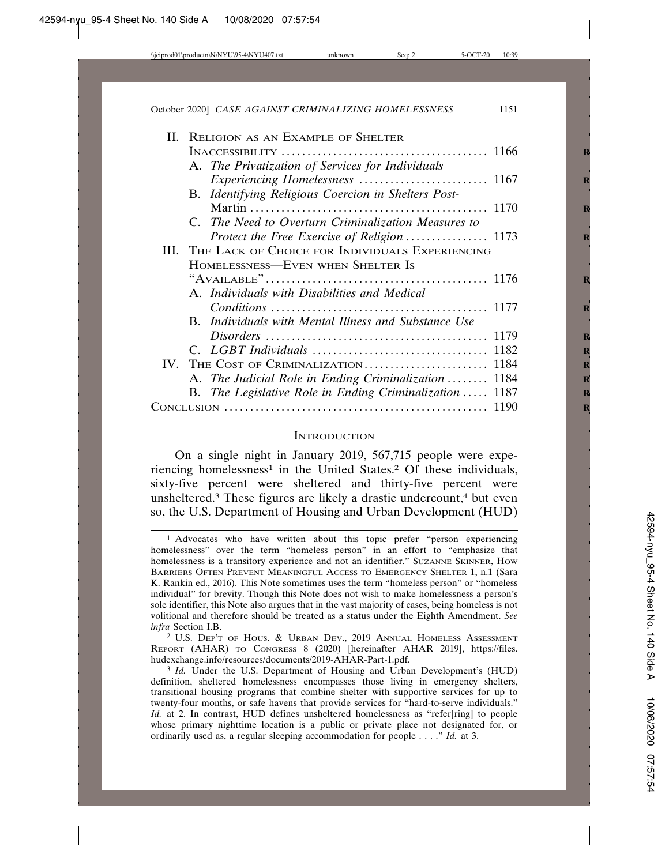|  | II. RELIGION AS AN EXAMPLE OF SHELTER                       |  |  |
|--|-------------------------------------------------------------|--|--|
|  |                                                             |  |  |
|  | A. The Privatization of Services for Individuals            |  |  |
|  |                                                             |  |  |
|  | B. Identifying Religious Coercion in Shelters Post-         |  |  |
|  |                                                             |  |  |
|  | C. The Need to Overturn Criminalization Measures to         |  |  |
|  |                                                             |  |  |
|  | III. THE LACK OF CHOICE FOR INDIVIDUALS EXPERIENCING        |  |  |
|  | HOMELESSNESS—EVEN WHEN SHELTER IS                           |  |  |
|  |                                                             |  |  |
|  | A. Individuals with Disabilities and Medical                |  |  |
|  |                                                             |  |  |
|  | <b>B.</b> Individuals with Mental Illness and Substance Use |  |  |
|  |                                                             |  |  |
|  |                                                             |  |  |
|  |                                                             |  |  |
|  | A. The Judicial Role in Ending Criminalization  1184        |  |  |
|  | B. The Legislative Role in Ending Criminalization  1187     |  |  |
|  |                                                             |  |  |

#### **INTRODUCTION**

On a single night in January 2019, 567,715 people were experiencing homelessness<sup>1</sup> in the United States.<sup>2</sup> Of these individuals, sixty-five percent were sheltered and thirty-five percent were unsheltered.<sup>3</sup> These figures are likely a drastic undercount,<sup>4</sup> but even so, the U.S. Department of Housing and Urban Development (HUD)

<sup>1</sup> Advocates who have written about this topic prefer "person experiencing homelessness" over the term "homeless person" in an effort to "emphasize that homelessness is a transitory experience and not an identifier." SUZANNE SKINNER, HOW BARRIERS OFTEN PREVENT MEANINGFUL ACCESS TO EMERGENCY SHELTER 1, n.1 (Sara K. Rankin ed., 2016). This Note sometimes uses the term "homeless person" or "homeless individual" for brevity. Though this Note does not wish to make homelessness a person's sole identifier, this Note also argues that in the vast majority of cases, being homeless is not volitional and therefore should be treated as a status under the Eighth Amendment. *See infra* Section I.B.

<sup>2</sup> U.S. DEP'T OF HOUS. & URBAN DEV., 2019 ANNUAL HOMELESS ASSESSMENT REPORT (AHAR) TO CONGRESS 8 (2020) [hereinafter AHAR 2019], https://files. hudexchange.info/resources/documents/2019-AHAR-Part-1.pdf.

<sup>&</sup>lt;sup>3</sup> *Id.* Under the U.S. Department of Housing and Urban Development's (HUD) definition, sheltered homelessness encompasses those living in emergency shelters, transitional housing programs that combine shelter with supportive services for up to twenty-four months, or safe havens that provide services for "hard-to-serve individuals." *Id.* at 2. In contrast, HUD defines unsheltered homelessness as "refer[ring] to people whose primary nighttime location is a public or private place not designated for, or ordinarily used as, a regular sleeping accommodation for people . . . ." *Id.* at 3.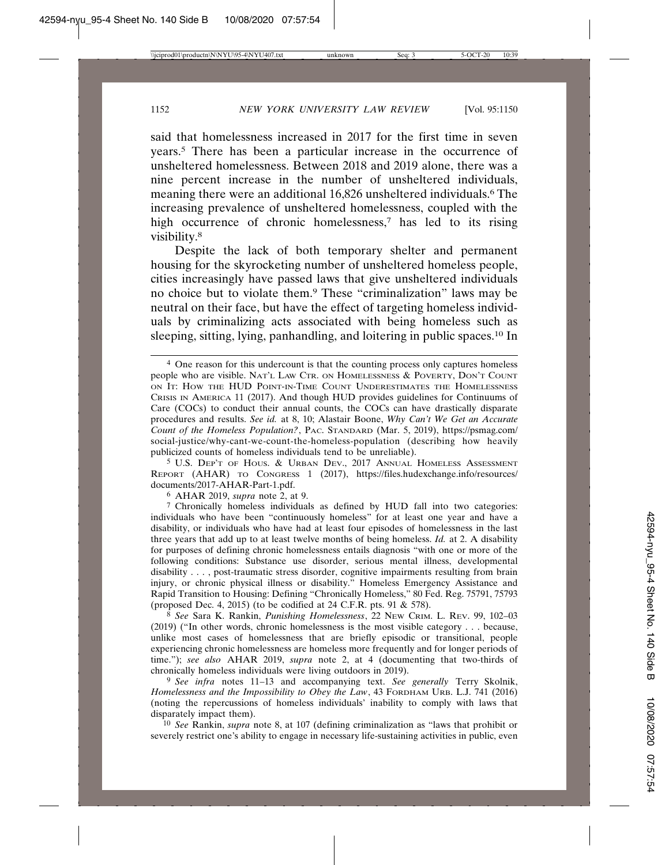said that homelessness increased in 2017 for the first time in seven years.5 There has been a particular increase in the occurrence of unsheltered homelessness. Between 2018 and 2019 alone, there was a nine percent increase in the number of unsheltered individuals, meaning there were an additional 16,826 unsheltered individuals.6 The increasing prevalence of unsheltered homelessness, coupled with the high occurrence of chronic homelessness,<sup>7</sup> has led to its rising visibility.8

Despite the lack of both temporary shelter and permanent housing for the skyrocketing number of unsheltered homeless people, cities increasingly have passed laws that give unsheltered individuals no choice but to violate them.9 These "criminalization" laws may be neutral on their face, but have the effect of targeting homeless individuals by criminalizing acts associated with being homeless such as sleeping, sitting, lying, panhandling, and loitering in public spaces.10 In

5 U.S. DEP'T OF HOUS. & URBAN DEV., 2017 ANNUAL HOMELESS ASSESSMENT REPORT (AHAR) TO CONGRESS 1 (2017), https://files.hudexchange.info/resources/ documents/2017-AHAR-Part-1.pdf.

6 AHAR 2019, *supra* note 2, at 9.

7 Chronically homeless individuals as defined by HUD fall into two categories: individuals who have been "continuously homeless" for at least one year and have a disability, or individuals who have had at least four episodes of homelessness in the last three years that add up to at least twelve months of being homeless. *Id.* at 2. A disability for purposes of defining chronic homelessness entails diagnosis "with one or more of the following conditions: Substance use disorder, serious mental illness, developmental disability . . . , post-traumatic stress disorder, cognitive impairments resulting from brain injury, or chronic physical illness or disability." Homeless Emergency Assistance and Rapid Transition to Housing: Defining "Chronically Homeless," 80 Fed. Reg. 75791, 75793 (proposed Dec. 4, 2015) (to be codified at 24 C.F.R. pts. 91 & 578).

8 *See* Sara K. Rankin, *Punishing Homelessness*, 22 NEW CRIM. L. REV. 99, 102–03 (2019) ("In other words, chronic homelessness is the most visible category . . . because, unlike most cases of homelessness that are briefly episodic or transitional, people experiencing chronic homelessness are homeless more frequently and for longer periods of time."); *see also* AHAR 2019, *supra* note 2, at 4 (documenting that two-thirds of chronically homeless individuals were living outdoors in 2019).

9 *See infra* notes 11–13 and accompanying text. *See generally* Terry Skolnik, *Homelessness and the Impossibility to Obey the Law*, 43 FORDHAM URB. L.J. 741 (2016) (noting the repercussions of homeless individuals' inability to comply with laws that disparately impact them).

10 *See* Rankin, *supra* note 8, at 107 (defining criminalization as "laws that prohibit or severely restrict one's ability to engage in necessary life-sustaining activities in public, even

<sup>4</sup> One reason for this undercount is that the counting process only captures homeless people who are visible. NAT'L LAW CTR. ON HOMELESSNESS & POVERTY, DON'T COUNT ON IT: HOW THE HUD POINT-IN-TIME COUNT UNDERESTIMATES THE HOMELESSNESS CRISIS IN AMERICA 11 (2017). And though HUD provides guidelines for Continuums of Care (COCs) to conduct their annual counts, the COCs can have drastically disparate procedures and results. *See id.* at 8, 10; Alastair Boone, *Why Can't We Get an Accurate Count of the Homeless Population?*, PAC. STANDARD (Mar. 5, 2019), https://psmag.com/ social-justice/why-cant-we-count-the-homeless-population (describing how heavily publicized counts of homeless individuals tend to be unreliable).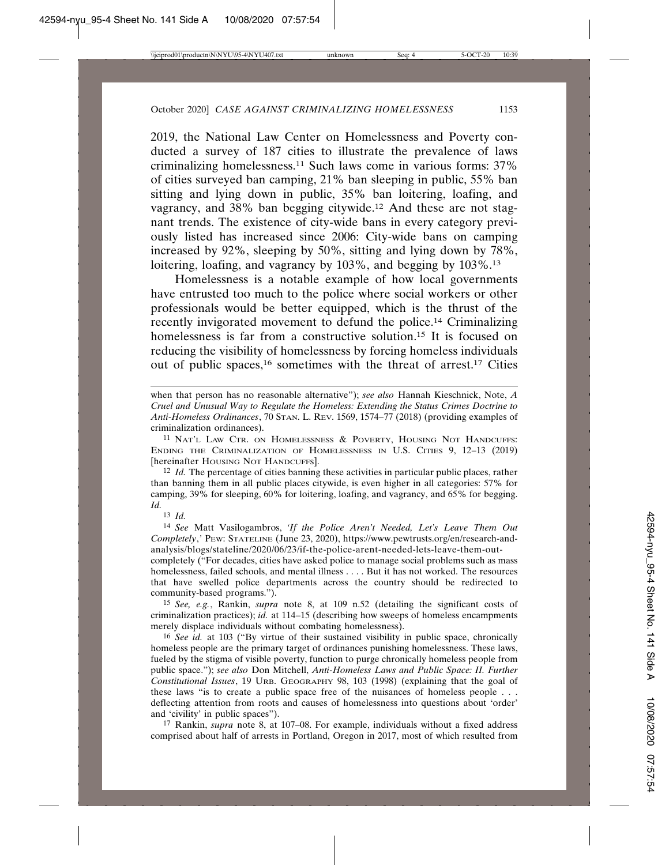2019, the National Law Center on Homelessness and Poverty conducted a survey of 187 cities to illustrate the prevalence of laws criminalizing homelessness.11 Such laws come in various forms: 37% of cities surveyed ban camping, 21% ban sleeping in public, 55% ban sitting and lying down in public, 35% ban loitering, loafing, and vagrancy, and 38% ban begging citywide.12 And these are not stagnant trends. The existence of city-wide bans in every category previously listed has increased since 2006: City-wide bans on camping increased by 92%, sleeping by 50%, sitting and lying down by 78%, loitering, loafing, and vagrancy by 103%, and begging by 103%.<sup>13</sup>

Homelessness is a notable example of how local governments have entrusted too much to the police where social workers or other professionals would be better equipped, which is the thrust of the recently invigorated movement to defund the police.14 Criminalizing homelessness is far from a constructive solution.<sup>15</sup> It is focused on reducing the visibility of homelessness by forcing homeless individuals out of public spaces,<sup>16</sup> sometimes with the threat of arrest.<sup>17</sup> Cities

when that person has no reasonable alternative"); *see also* Hannah Kieschnick, Note, *A Cruel and Unusual Way to Regulate the Homeless: Extending the Status Crimes Doctrine to Anti-Homeless Ordinances*, 70 STAN. L. REV. 1569, 1574–77 (2018) (providing examples of criminalization ordinances).

11 NAT'L LAW CTR. ON HOMELESSNESS & POVERTY, HOUSING NOT HANDCUFFS: ENDING THE CRIMINALIZATION OF HOMELESSNESS IN U.S. CITIES 9, 12–13 (2019) [hereinafter HOUSING NOT HANDCUFFS].

12 *Id.* The percentage of cities banning these activities in particular public places, rather than banning them in all public places citywide, is even higher in all categories: 57% for camping, 39% for sleeping, 60% for loitering, loafing, and vagrancy, and 65% for begging. *Id.*

13 *Id.*

14 *See* Matt Vasilogambros, *'If the Police Aren't Needed, Let's Leave Them Out Completely*,*'* PEW: STATELINE (June 23, 2020), https://www.pewtrusts.org/en/research-andanalysis/blogs/stateline/2020/06/23/if-the-police-arent-needed-lets-leave-them-out-

completely ("For decades, cities have asked police to manage social problems such as mass homelessness, failed schools, and mental illness . . . . But it has not worked. The resources that have swelled police departments across the country should be redirected to community-based programs.").

15 *See, e.g.*, Rankin, *supra* note 8, at 109 n.52 (detailing the significant costs of criminalization practices); *id.* at 114–15 (describing how sweeps of homeless encampments merely displace individuals without combating homelessness).

16 *See id.* at 103 ("By virtue of their sustained visibility in public space, chronically homeless people are the primary target of ordinances punishing homelessness. These laws, fueled by the stigma of visible poverty, function to purge chronically homeless people from public space."); *see also* Don Mitchell, *Anti-Homeless Laws and Public Space: II. Further Constitutional Issues*, 19 URB. GEOGRAPHY 98, 103 (1998) (explaining that the goal of these laws "is to create a public space free of the nuisances of homeless people . . . deflecting attention from roots and causes of homelessness into questions about 'order' and 'civility' in public spaces").

17 Rankin, *supra* note 8, at 107–08. For example, individuals without a fixed address comprised about half of arrests in Portland, Oregon in 2017, most of which resulted from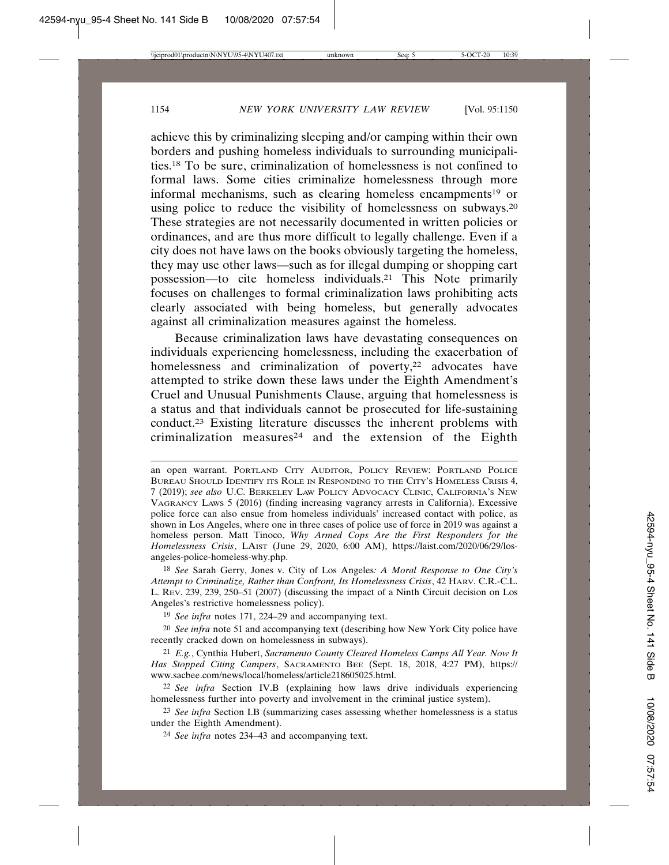achieve this by criminalizing sleeping and/or camping within their own borders and pushing homeless individuals to surrounding municipalities.18 To be sure, criminalization of homelessness is not confined to formal laws. Some cities criminalize homelessness through more informal mechanisms, such as clearing homeless encampments<sup>19</sup> or using police to reduce the visibility of homelessness on subways.20 These strategies are not necessarily documented in written policies or ordinances, and are thus more difficult to legally challenge. Even if a city does not have laws on the books obviously targeting the homeless, they may use other laws—such as for illegal dumping or shopping cart possession—to cite homeless individuals.21 This Note primarily focuses on challenges to formal criminalization laws prohibiting acts clearly associated with being homeless, but generally advocates against all criminalization measures against the homeless.

Because criminalization laws have devastating consequences on individuals experiencing homelessness, including the exacerbation of homelessness and criminalization of poverty,<sup>22</sup> advocates have attempted to strike down these laws under the Eighth Amendment's Cruel and Unusual Punishments Clause, arguing that homelessness is a status and that individuals cannot be prosecuted for life-sustaining conduct.23 Existing literature discusses the inherent problems with criminalization measures<sup>24</sup> and the extension of the Eighth

18 *See* Sarah Gerry, Jones v. City of Los Angeles*: A Moral Response to One City's Attempt to Criminalize, Rather than Confront, Its Homelessness Crisis*, 42 HARV. C.R.-C.L. L. REV. 239, 239, 250–51 (2007) (discussing the impact of a Ninth Circuit decision on Los Angeles's restrictive homelessness policy).

19 *See infra* notes 171, 224–29 and accompanying text.

20 *See infra* note 51 and accompanying text (describing how New York City police have recently cracked down on homelessness in subways).

21 *E.g.*, Cynthia Hubert, *Sacramento County Cleared Homeless Camps All Year. Now It Has Stopped Citing Campers*, SACRAMENTO BEE (Sept. 18, 2018, 4:27 PM), https:// www.sacbee.com/news/local/homeless/article218605025.html.

22 *See infra* Section IV.B (explaining how laws drive individuals experiencing homelessness further into poverty and involvement in the criminal justice system).

23 *See infra* Section I.B (summarizing cases assessing whether homelessness is a status under the Eighth Amendment).

24 *See infra* notes 234–43 and accompanying text.

an open warrant. PORTLAND CITY AUDITOR, POLICY REVIEW: PORTLAND POLICE BUREAU SHOULD IDENTIFY ITS ROLE IN RESPONDING TO THE CITY'S HOMELESS CRISIS 4, 7 (2019); *see also* U.C. BERKELEY LAW POLICY ADVOCACY CLINIC, CALIFORNIA'S NEW VAGRANCY LAWS 5 (2016) (finding increasing vagrancy arrests in California). Excessive police force can also ensue from homeless individuals' increased contact with police, as shown in Los Angeles, where one in three cases of police use of force in 2019 was against a homeless person. Matt Tinoco, *Why Armed Cops Are the First Responders for the Homelessness Crisis*, LAIST (June 29, 2020, 6:00 AM), https://laist.com/2020/06/29/losangeles-police-homeless-why.php.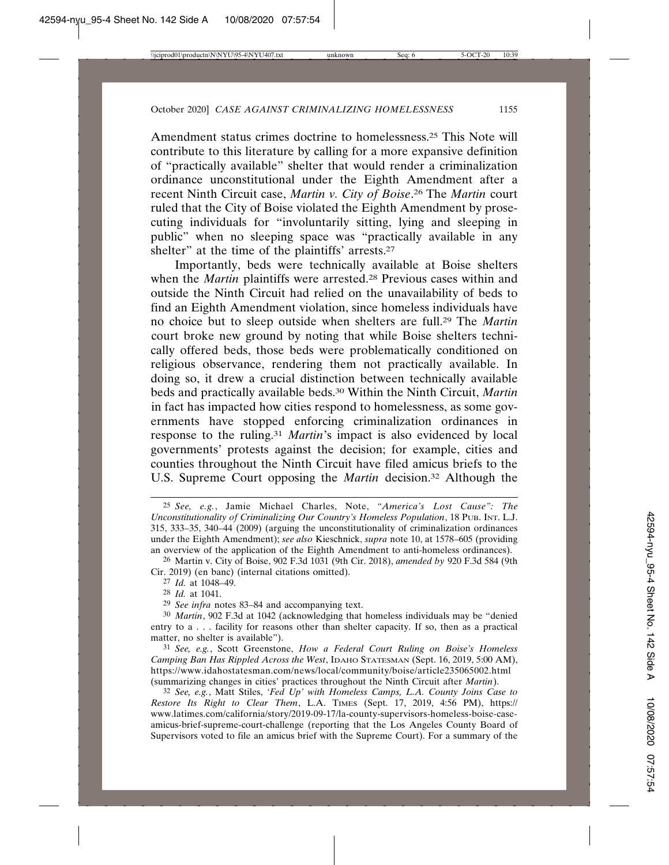Amendment status crimes doctrine to homelessness.25 This Note will contribute to this literature by calling for a more expansive definition of "practically available" shelter that would render a criminalization ordinance unconstitutional under the Eighth Amendment after a recent Ninth Circuit case, *Martin v. City of Boise*. 26 The *Martin* court ruled that the City of Boise violated the Eighth Amendment by prosecuting individuals for "involuntarily sitting, lying and sleeping in public" when no sleeping space was "practically available in any shelter" at the time of the plaintiffs' arrests.27

Importantly, beds were technically available at Boise shelters when the *Martin* plaintiffs were arrested.<sup>28</sup> Previous cases within and outside the Ninth Circuit had relied on the unavailability of beds to find an Eighth Amendment violation, since homeless individuals have no choice but to sleep outside when shelters are full.29 The *Martin* court broke new ground by noting that while Boise shelters technically offered beds, those beds were problematically conditioned on religious observance, rendering them not practically available. In doing so, it drew a crucial distinction between technically available beds and practically available beds.30 Within the Ninth Circuit, *Martin* in fact has impacted how cities respond to homelessness, as some governments have stopped enforcing criminalization ordinances in response to the ruling.31 *Martin*'s impact is also evidenced by local governments' protests against the decision; for example, cities and counties throughout the Ninth Circuit have filed amicus briefs to the U.S. Supreme Court opposing the *Martin* decision.<sup>32</sup> Although the

32 *See, e.g.*, Matt Stiles, *'Fed Up' with Homeless Camps, L.A. County Joins Case to Restore Its Right to Clear Them*, L.A. TIMES (Sept. 17, 2019, 4:56 PM), https:// www.latimes.com/california/story/2019-09-17/la-county-supervisors-homeless-boise-caseamicus-brief-supreme-court-challenge (reporting that the Los Angeles County Board of Supervisors voted to file an amicus brief with the Supreme Court). For a summary of the

<sup>25</sup> *See, e.g.*, Jamie Michael Charles, Note, *"America's Lost Cause": The Unconstitutionality of Criminalizing Our Country's Homeless Population*, 18 PUB. INT. L.J. 315, 333–35, 340–44 (2009) (arguing the unconstitutionality of criminalization ordinances under the Eighth Amendment); *see also* Kieschnick, *supra* note 10, at 1578–605 (providing an overview of the application of the Eighth Amendment to anti-homeless ordinances).

<sup>26</sup> Martin v. City of Boise, 902 F.3d 1031 (9th Cir. 2018), *amended by* 920 F.3d 584 (9th Cir. 2019) (en banc) (internal citations omitted).

<sup>27</sup> *Id.* at 1048–49.

<sup>28</sup> *Id.* at 1041.

<sup>29</sup> *See infra* notes 83–84 and accompanying text.

<sup>30</sup> *Martin*, 902 F.3d at 1042 (acknowledging that homeless individuals may be "denied entry to a . . . facility for reasons other than shelter capacity. If so, then as a practical matter, no shelter is available").

<sup>31</sup> *See, e.g.*, Scott Greenstone, *How a Federal Court Ruling on Boise's Homeless Camping Ban Has Rippled Across the West*, IDAHO STATESMAN (Sept. 16, 2019, 5:00 AM), https://www.idahostatesman.com/news/local/community/boise/article235065002.html (summarizing changes in cities' practices throughout the Ninth Circuit after *Martin*).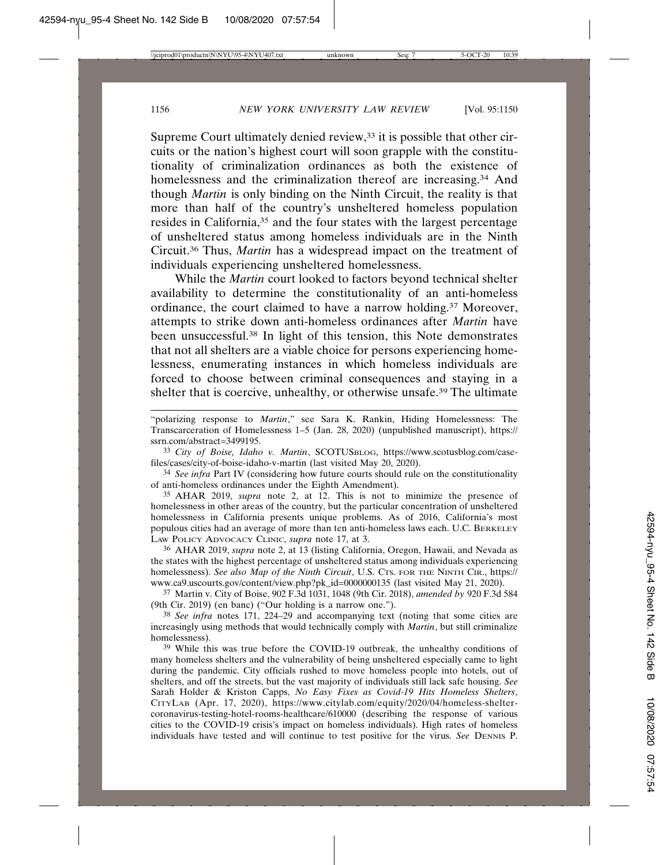Supreme Court ultimately denied review,<sup>33</sup> it is possible that other circuits or the nation's highest court will soon grapple with the constitutionality of criminalization ordinances as both the existence of homelessness and the criminalization thereof are increasing.<sup>34</sup> And though *Martin* is only binding on the Ninth Circuit, the reality is that more than half of the country's unsheltered homeless population resides in California,35 and the four states with the largest percentage of unsheltered status among homeless individuals are in the Ninth Circuit.36 Thus, *Martin* has a widespread impact on the treatment of individuals experiencing unsheltered homelessness.

While the *Martin* court looked to factors beyond technical shelter availability to determine the constitutionality of an anti-homeless ordinance, the court claimed to have a narrow holding.<sup>37</sup> Moreover, attempts to strike down anti-homeless ordinances after *Martin* have been unsuccessful.38 In light of this tension, this Note demonstrates that not all shelters are a viable choice for persons experiencing homelessness, enumerating instances in which homeless individuals are forced to choose between criminal consequences and staying in a shelter that is coercive, unhealthy, or otherwise unsafe.39 The ultimate

33 *City of Boise, Idaho v. Martin*, SCOTUSBLOG, https://www.scotusblog.com/casefiles/cases/city-of-boise-idaho-v-martin (last visited May 20, 2020).

34 *See infra* Part IV (considering how future courts should rule on the constitutionality of anti-homeless ordinances under the Eighth Amendment).

35 AHAR 2019, *supra* note 2, at 12. This is not to minimize the presence of homelessness in other areas of the country, but the particular concentration of unsheltered homelessness in California presents unique problems. As of 2016, California's most populous cities had an average of more than ten anti-homeless laws each. U.C. BERKELEY LAW POLICY ADVOCACY CLINIC, *supra* note 17, at 3.

36 AHAR 2019, *supra* note 2, at 13 (listing California, Oregon, Hawaii, and Nevada as the states with the highest percentage of unsheltered status among individuals experiencing homelessness). *See also Map of the Ninth Circuit*, U.S. CTS. FOR THE NINTH CIR., https:// www.ca9.uscourts.gov/content/view.php?pk\_id=0000000135 (last visited May 21, 2020).

37 Martin v. City of Boise, 902 F.3d 1031, 1048 (9th Cir. 2018), *amended by* 920 F.3d 584 (9th Cir. 2019) (en banc) ("Our holding is a narrow one.").

38 *See infra* notes 171, 224–29 and accompanying text (noting that some cities are increasingly using methods that would technically comply with *Martin*, but still criminalize homelessness).

39 While this was true before the COVID-19 outbreak, the unhealthy conditions of many homeless shelters and the vulnerability of being unsheltered especially came to light during the pandemic. City officials rushed to move homeless people into hotels, out of shelters, and off the streets, but the vast majority of individuals still lack safe housing. *See* Sarah Holder & Kriston Capps, *No Easy Fixes as Covid-19 Hits Homeless Shelters*, CITYLAB (Apr. 17, 2020), https://www.citylab.com/equity/2020/04/homeless-sheltercoronavirus-testing-hotel-rooms-healthcare/610000 (describing the response of various cities to the COVID-19 crisis's impact on homeless individuals). High rates of homeless individuals have tested and will continue to test positive for the virus. *See* DENNIS P.

<sup>&</sup>quot;polarizing response to *Martin*," see Sara K. Rankin, Hiding Homelessness: The Transcarceration of Homelessness 1–5 (Jan. 28, 2020) (unpublished manuscript), https:// ssrn.com/abstract=3499195.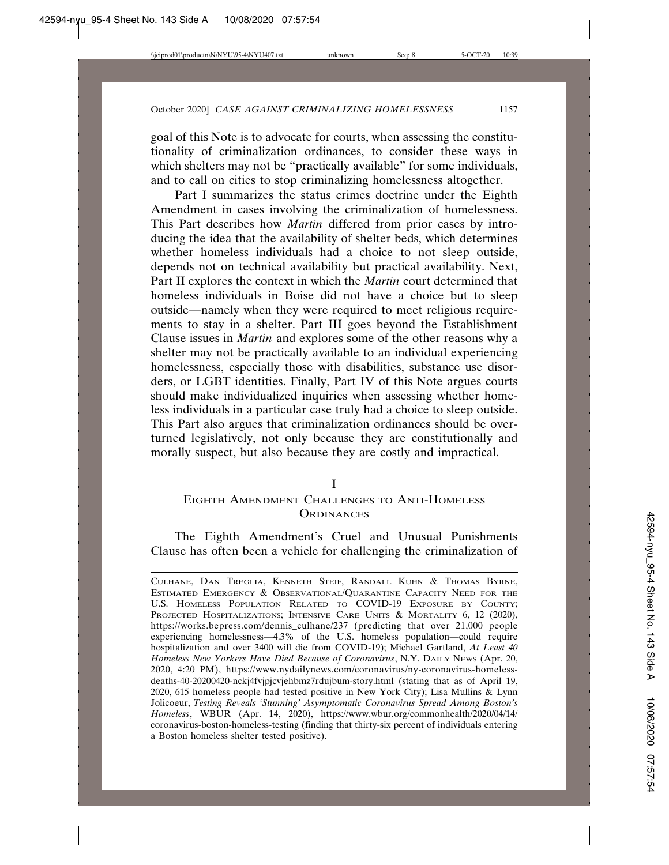goal of this Note is to advocate for courts, when assessing the constitutionality of criminalization ordinances, to consider these ways in which shelters may not be "practically available" for some individuals, and to call on cities to stop criminalizing homelessness altogether.

Part I summarizes the status crimes doctrine under the Eighth Amendment in cases involving the criminalization of homelessness. This Part describes how *Martin* differed from prior cases by introducing the idea that the availability of shelter beds, which determines whether homeless individuals had a choice to not sleep outside, depends not on technical availability but practical availability. Next, Part II explores the context in which the *Martin* court determined that homeless individuals in Boise did not have a choice but to sleep outside—namely when they were required to meet religious requirements to stay in a shelter. Part III goes beyond the Establishment Clause issues in *Martin* and explores some of the other reasons why a shelter may not be practically available to an individual experiencing homelessness, especially those with disabilities, substance use disorders, or LGBT identities. Finally, Part IV of this Note argues courts should make individualized inquiries when assessing whether homeless individuals in a particular case truly had a choice to sleep outside. This Part also argues that criminalization ordinances should be overturned legislatively, not only because they are constitutionally and morally suspect, but also because they are costly and impractical.

I

### EIGHTH AMENDMENT CHALLENGES TO ANTI-HOMELESS **ORDINANCES**

The Eighth Amendment's Cruel and Unusual Punishments Clause has often been a vehicle for challenging the criminalization of

CULHANE, DAN TREGLIA, KENNETH STEIF, RANDALL KUHN & THOMAS BYRNE, ESTIMATED EMERGENCY & OBSERVATIONAL/QUARANTINE CAPACITY NEED FOR THE U.S. HOMELESS POPULATION RELATED TO COVID-19 EXPOSURE BY COUNTY; PROJECTED HOSPITALIZATIONS; INTENSIVE CARE UNITS & MORTALITY 6, 12 (2020), https://works.bepress.com/dennis\_culhane/237 (predicting that over 21,000 people experiencing homelessness—4.3% of the U.S. homeless population—could require hospitalization and over 3400 will die from COVID-19); Michael Gartland, *At Least 40 Homeless New Yorkers Have Died Because of Coronavirus*, N.Y. DAILY NEWS (Apr. 20, 2020, 4:20 PM), https://www.nydailynews.com/coronavirus/ny-coronavirus-homelessdeaths-40-20200420-nckj4fvjpjcvjehbmz7rdujbum-story.html (stating that as of April 19, 2020, 615 homeless people had tested positive in New York City); Lisa Mullins & Lynn Jolicoeur, *Testing Reveals 'Stunning' Asymptomatic Coronavirus Spread Among Boston's Homeless*, WBUR (Apr. 14, 2020), https://www.wbur.org/commonhealth/2020/04/14/ coronavirus-boston-homeless-testing (finding that thirty-six percent of individuals entering a Boston homeless shelter tested positive).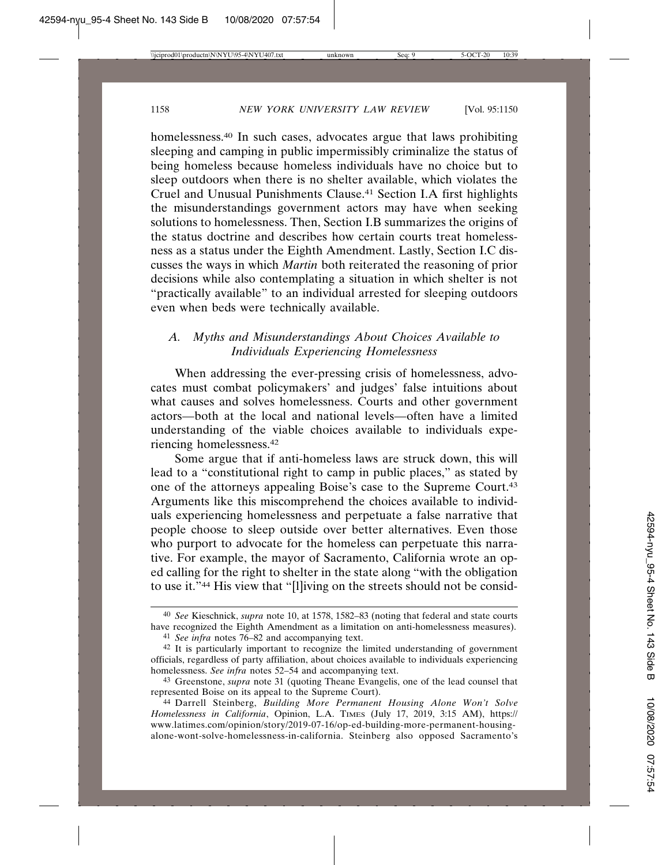homelessness.<sup>40</sup> In such cases, advocates argue that laws prohibiting sleeping and camping in public impermissibly criminalize the status of being homeless because homeless individuals have no choice but to sleep outdoors when there is no shelter available, which violates the Cruel and Unusual Punishments Clause.41 Section I.A first highlights the misunderstandings government actors may have when seeking solutions to homelessness. Then, Section I.B summarizes the origins of the status doctrine and describes how certain courts treat homelessness as a status under the Eighth Amendment. Lastly, Section I.C discusses the ways in which *Martin* both reiterated the reasoning of prior decisions while also contemplating a situation in which shelter is not "practically available" to an individual arrested for sleeping outdoors even when beds were technically available.

## *A. Myths and Misunderstandings About Choices Available to Individuals Experiencing Homelessness*

When addressing the ever-pressing crisis of homelessness, advocates must combat policymakers' and judges' false intuitions about what causes and solves homelessness. Courts and other government actors—both at the local and national levels—often have a limited understanding of the viable choices available to individuals experiencing homelessness.42

Some argue that if anti-homeless laws are struck down, this will lead to a "constitutional right to camp in public places," as stated by one of the attorneys appealing Boise's case to the Supreme Court.43 Arguments like this miscomprehend the choices available to individuals experiencing homelessness and perpetuate a false narrative that people choose to sleep outside over better alternatives. Even those who purport to advocate for the homeless can perpetuate this narrative. For example, the mayor of Sacramento, California wrote an oped calling for the right to shelter in the state along "with the obligation to use it."44 His view that "[l]iving on the streets should not be consid-

<sup>40</sup> *See* Kieschnick, *supra* note 10, at 1578, 1582–83 (noting that federal and state courts have recognized the Eighth Amendment as a limitation on anti-homelessness measures).

<sup>41</sup> *See infra* notes 76–82 and accompanying text.

<sup>42</sup> It is particularly important to recognize the limited understanding of government officials, regardless of party affiliation, about choices available to individuals experiencing homelessness. *See infra* notes 52–54 and accompanying text.

<sup>43</sup> Greenstone, *supra* note 31 (quoting Theane Evangelis, one of the lead counsel that represented Boise on its appeal to the Supreme Court).

<sup>44</sup> Darrell Steinberg, *Building More Permanent Housing Alone Won't Solve Homelessness in California*, Opinion, L.A. TIMES (July 17, 2019, 3:15 AM), https:// www.latimes.com/opinion/story/2019-07-16/op-ed-building-more-permanent-housingalone-wont-solve-homelessness-in-california. Steinberg also opposed Sacramento's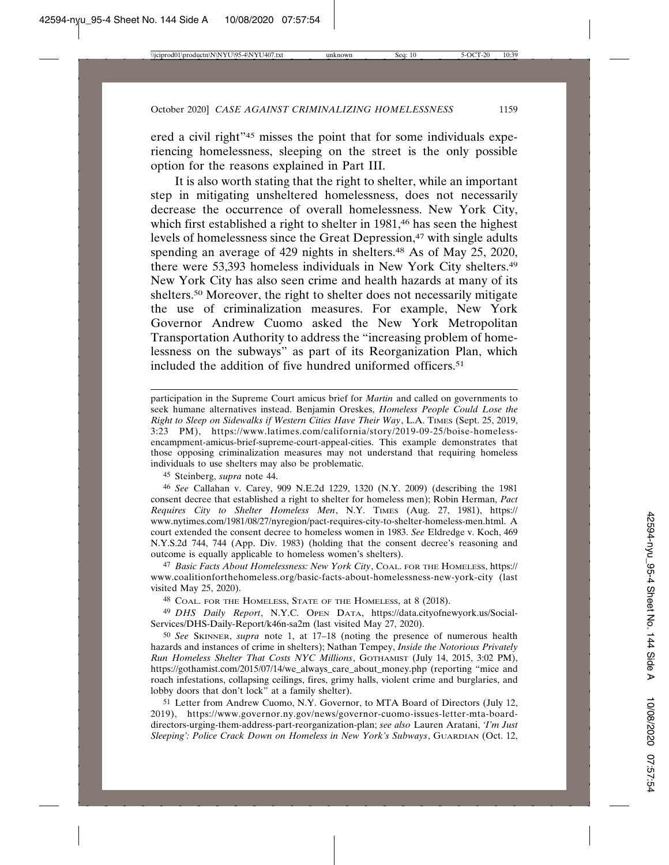ered a civil right"45 misses the point that for some individuals experiencing homelessness, sleeping on the street is the only possible option for the reasons explained in Part III.

It is also worth stating that the right to shelter, while an important step in mitigating unsheltered homelessness, does not necessarily decrease the occurrence of overall homelessness. New York City, which first established a right to shelter in 1981,<sup>46</sup> has seen the highest levels of homelessness since the Great Depression,<sup>47</sup> with single adults spending an average of 429 nights in shelters.<sup>48</sup> As of May 25, 2020, there were 53,393 homeless individuals in New York City shelters.49 New York City has also seen crime and health hazards at many of its shelters.50 Moreover, the right to shelter does not necessarily mitigate the use of criminalization measures. For example, New York Governor Andrew Cuomo asked the New York Metropolitan Transportation Authority to address the "increasing problem of homelessness on the subways" as part of its Reorganization Plan, which included the addition of five hundred uniformed officers.51

participation in the Supreme Court amicus brief for *Martin* and called on governments to seek humane alternatives instead. Benjamin Oreskes, *Homeless People Could Lose the Right to Sleep on Sidewalks if Western Cities Have Their Way*, L.A. TIMES (Sept. 25, 2019, 3:23 PM), https://www.latimes.com/california/story/2019-09-25/boise-homelessencampment-amicus-brief-supreme-court-appeal-cities. This example demonstrates that those opposing criminalization measures may not understand that requiring homeless individuals to use shelters may also be problematic.

45 Steinberg, *supra* note 44.

46 *See* Callahan v. Carey, 909 N.E.2d 1229, 1320 (N.Y. 2009) (describing the 1981 consent decree that established a right to shelter for homeless men); Robin Herman, *Pact Requires City to Shelter Homeless Men*, N.Y. TIMES (Aug. 27, 1981), https:// www.nytimes.com/1981/08/27/nyregion/pact-requires-city-to-shelter-homeless-men.html. A court extended the consent decree to homeless women in 1983. *See* Eldredge v. Koch, 469 N.Y.S.2d 744, 744 (App. Div. 1983) (holding that the consent decree's reasoning and outcome is equally applicable to homeless women's shelters).

47 *Basic Facts About Homelessness: New York City*, COAL. FOR THE HOMELESS, https:// www.coalitionforthehomeless.org/basic-facts-about-homelessness-new-york-city (last visited May 25, 2020).

48 COAL. FOR THE HOMELESS, STATE OF THE HOMELESS, at 8 (2018).

49 *DHS Daily Report*, N.Y.C. OPEN DATA, https://data.cityofnewyork.us/Social-Services/DHS-Daily-Report/k46n-sa2m (last visited May 27, 2020).

50 *See* SKINNER, *supra* note 1, at 17–18 (noting the presence of numerous health hazards and instances of crime in shelters); Nathan Tempey, *Inside the Notorious Privately Run Homeless Shelter That Costs NYC Millions*, GOTHAMIST (July 14, 2015, 3:02 PM), https://gothamist.com/2015/07/14/we\_always\_care\_about\_money.php (reporting "mice and roach infestations, collapsing ceilings, fires, grimy halls, violent crime and burglaries, and lobby doors that don't lock" at a family shelter).

51 Letter from Andrew Cuomo, N.Y. Governor, to MTA Board of Directors (July 12, 2019), https://www.governor.ny.gov/news/governor-cuomo-issues-letter-mta-boarddirectors-urging-them-address-part-reorganization-plan; *see also* Lauren Aratani, *'I'm Just Sleeping': Police Crack Down on Homeless in New York's Subways*, GUARDIAN (Oct. 12,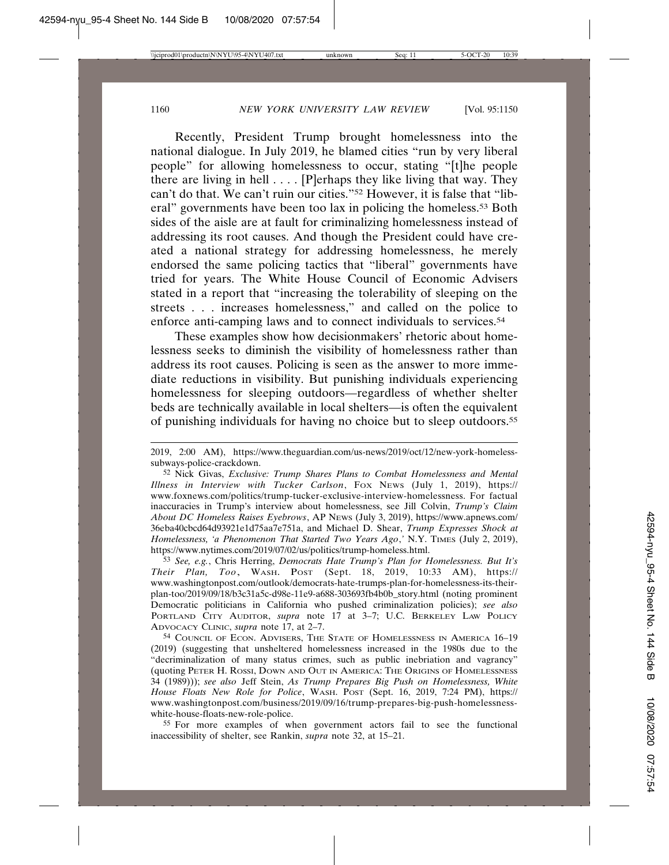Recently, President Trump brought homelessness into the national dialogue. In July 2019, he blamed cities "run by very liberal people" for allowing homelessness to occur, stating "[t]he people there are living in hell  $\dots$ . [P]erhaps they like living that way. They can't do that. We can't ruin our cities."52 However, it is false that "liberal" governments have been too lax in policing the homeless.53 Both sides of the aisle are at fault for criminalizing homelessness instead of addressing its root causes. And though the President could have created a national strategy for addressing homelessness, he merely endorsed the same policing tactics that "liberal" governments have tried for years. The White House Council of Economic Advisers stated in a report that "increasing the tolerability of sleeping on the streets . . . increases homelessness," and called on the police to enforce anti-camping laws and to connect individuals to services.54

These examples show how decisionmakers' rhetoric about homelessness seeks to diminish the visibility of homelessness rather than address its root causes. Policing is seen as the answer to more immediate reductions in visibility. But punishing individuals experiencing homelessness for sleeping outdoors—regardless of whether shelter beds are technically available in local shelters—is often the equivalent of punishing individuals for having no choice but to sleep outdoors.55

55 For more examples of when government actors fail to see the functional inaccessibility of shelter, see Rankin, *supra* note 32, at 15–21.

<sup>2019, 2:00</sup> AM), https://www.theguardian.com/us-news/2019/oct/12/new-york-homelesssubways-police-crackdown.

<sup>52</sup> Nick Givas, *Exclusive: Trump Shares Plans to Combat Homelessness and Mental Illness in Interview with Tucker Carlson*, FOX NEWS (July 1, 2019), https:// www.foxnews.com/politics/trump-tucker-exclusive-interview-homelessness. For factual inaccuracies in Trump's interview about homelessness, see Jill Colvin, *Trump's Claim About DC Homeless Raises Eyebrows*, AP NEWS (July 3, 2019), https://www.apnews.com/ 36eba40cbcd64d93921e1d75aa7e751a, and Michael D. Shear, *Trump Expresses Shock at Homelessness, 'a Phenomenon That Started Two Years Ago*,*'* N.Y. TIMES (July 2, 2019), https://www.nytimes.com/2019/07/02/us/politics/trump-homeless.html.

<sup>53</sup> *See, e.g.*, Chris Herring, *Democrats Hate Trump's Plan for Homelessness. But It's Their Plan, Too*, WASH. POST (Sept. 18, 2019, 10:33 AM), https:// www.washingtonpost.com/outlook/democrats-hate-trumps-plan-for-homelessness-its-theirplan-too/2019/09/18/b3c31a5c-d98e-11e9-a688-303693fb4b0b\_story.html (noting prominent Democratic politicians in California who pushed criminalization policies); *see also* PORTLAND CITY AUDITOR, *supra* note 17 at 3-7; U.C. BERKELEY LAW POLICY ADVOCACY CLINIC, *supra* note 17, at 2–7.

<sup>54</sup> COUNCIL OF ECON. ADVISERS, THE STATE OF HOMELESSNESS IN AMERICA 16–19 (2019) (suggesting that unsheltered homelessness increased in the 1980s due to the "decriminalization of many status crimes, such as public inebriation and vagrancy" (quoting PETER H. ROSSI, DOWN AND OUT IN AMERICA: THE ORIGINS OF HOMELESSNESS 34 (1989))); *see also* Jeff Stein, *As Trump Prepares Big Push on Homelessness, White House Floats New Role for Police*, WASH. POST (Sept. 16, 2019, 7:24 PM), https:// www.washingtonpost.com/business/2019/09/16/trump-prepares-big-push-homelessnesswhite-house-floats-new-role-police.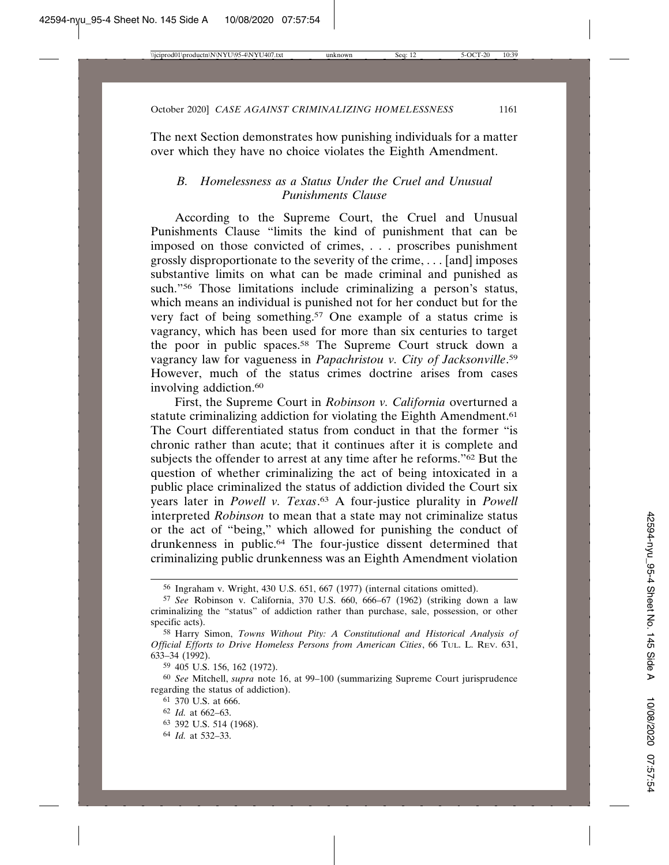The next Section demonstrates how punishing individuals for a matter over which they have no choice violates the Eighth Amendment.

### *B. Homelessness as a Status Under the Cruel and Unusual Punishments Clause*

According to the Supreme Court, the Cruel and Unusual Punishments Clause "limits the kind of punishment that can be imposed on those convicted of crimes, . . . proscribes punishment grossly disproportionate to the severity of the crime, . . . [and] imposes substantive limits on what can be made criminal and punished as such."56 Those limitations include criminalizing a person's status, which means an individual is punished not for her conduct but for the very fact of being something.57 One example of a status crime is vagrancy, which has been used for more than six centuries to target the poor in public spaces.58 The Supreme Court struck down a vagrancy law for vagueness in *Papachristou v. City of Jacksonville*. 59 However, much of the status crimes doctrine arises from cases involving addiction.<sup>60</sup>

First, the Supreme Court in *Robinson v. California* overturned a statute criminalizing addiction for violating the Eighth Amendment.<sup>61</sup> The Court differentiated status from conduct in that the former "is chronic rather than acute; that it continues after it is complete and subjects the offender to arrest at any time after he reforms."62 But the question of whether criminalizing the act of being intoxicated in a public place criminalized the status of addiction divided the Court six years later in *Powell v. Texas*. 63 A four-justice plurality in *Powell* interpreted *Robinson* to mean that a state may not criminalize status or the act of "being," which allowed for punishing the conduct of drunkenness in public.64 The four-justice dissent determined that criminalizing public drunkenness was an Eighth Amendment violation

<sup>56</sup> Ingraham v. Wright, 430 U.S. 651, 667 (1977) (internal citations omitted).

<sup>57</sup> *See* Robinson v. California, 370 U.S. 660, 666–67 (1962) (striking down a law criminalizing the "status" of addiction rather than purchase, sale, possession, or other specific acts).

<sup>58</sup> Harry Simon, *Towns Without Pity: A Constitutional and Historical Analysis of Official Efforts to Drive Homeless Persons from American Cities*, 66 TUL. L. REV. 631, 633–34 (1992).

<sup>59</sup> 405 U.S. 156, 162 (1972).

<sup>60</sup> *See* Mitchell, *supra* note 16, at 99–100 (summarizing Supreme Court jurisprudence regarding the status of addiction).

<sup>61</sup> 370 U.S. at 666.

<sup>62</sup> *Id.* at 662–63.

<sup>63</sup> 392 U.S. 514 (1968).

<sup>64</sup> *Id.* at 532–33.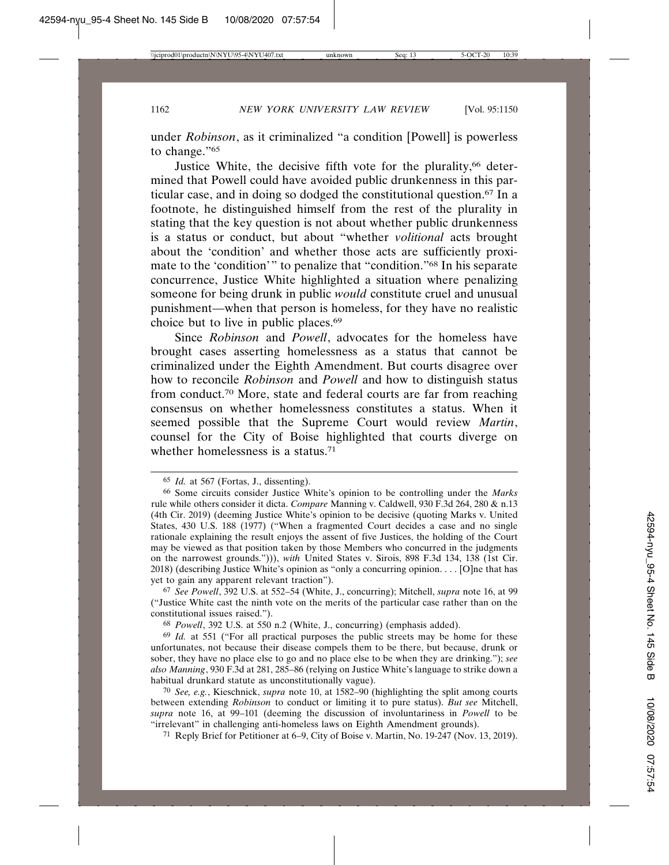under *Robinson*, as it criminalized "a condition [Powell] is powerless to change."65

Justice White, the decisive fifth vote for the plurality,<sup>66</sup> determined that Powell could have avoided public drunkenness in this particular case, and in doing so dodged the constitutional question.67 In a footnote, he distinguished himself from the rest of the plurality in stating that the key question is not about whether public drunkenness is a status or conduct, but about "whether *volitional* acts brought about the 'condition' and whether those acts are sufficiently proximate to the 'condition'" to penalize that "condition."68 In his separate concurrence, Justice White highlighted a situation where penalizing someone for being drunk in public *would* constitute cruel and unusual punishment—when that person is homeless, for they have no realistic choice but to live in public places.69

Since *Robinson* and *Powell*, advocates for the homeless have brought cases asserting homelessness as a status that cannot be criminalized under the Eighth Amendment. But courts disagree over how to reconcile *Robinson* and *Powell* and how to distinguish status from conduct.70 More, state and federal courts are far from reaching consensus on whether homelessness constitutes a status. When it seemed possible that the Supreme Court would review *Martin*, counsel for the City of Boise highlighted that courts diverge on whether homelessness is a status.<sup>71</sup>

71 Reply Brief for Petitioner at 6–9, City of Boise v. Martin, No. 19-247 (Nov. 13, 2019).

<sup>65</sup> *Id.* at 567 (Fortas, J., dissenting).

<sup>66</sup> Some circuits consider Justice White's opinion to be controlling under the *Marks* rule while others consider it dicta. *Compare* Manning v. Caldwell, 930 F.3d 264, 280 & n.13 (4th Cir. 2019) (deeming Justice White's opinion to be decisive (quoting Marks v. United States, 430 U.S. 188 (1977) ("When a fragmented Court decides a case and no single rationale explaining the result enjoys the assent of five Justices, the holding of the Court may be viewed as that position taken by those Members who concurred in the judgments on the narrowest grounds."))), *with* United States v. Sirois, 898 F.3d 134, 138 (1st Cir. 2018) (describing Justice White's opinion as "only a concurring opinion. . . . [O]ne that has yet to gain any apparent relevant traction").

<sup>67</sup> *See Powell*, 392 U.S. at 552–54 (White, J., concurring); Mitchell, *supra* note 16, at 99 ("Justice White cast the ninth vote on the merits of the particular case rather than on the constitutional issues raised.").

<sup>68</sup> *Powell*, 392 U.S. at 550 n.2 (White, J., concurring) (emphasis added).

<sup>69</sup> *Id.* at 551 ("For all practical purposes the public streets may be home for these unfortunates, not because their disease compels them to be there, but because, drunk or sober, they have no place else to go and no place else to be when they are drinking."); *see also Manning*, 930 F.3d at 281, 285–86 (relying on Justice White's language to strike down a habitual drunkard statute as unconstitutionally vague).

<sup>70</sup> *See, e.g.*, Kieschnick, *supra* note 10, at 1582–90 (highlighting the split among courts between extending *Robinson* to conduct or limiting it to pure status). *But see* Mitchell, *supra* note 16, at 99–101 (deeming the discussion of involuntariness in *Powell* to be "irrelevant" in challenging anti-homeless laws on Eighth Amendment grounds).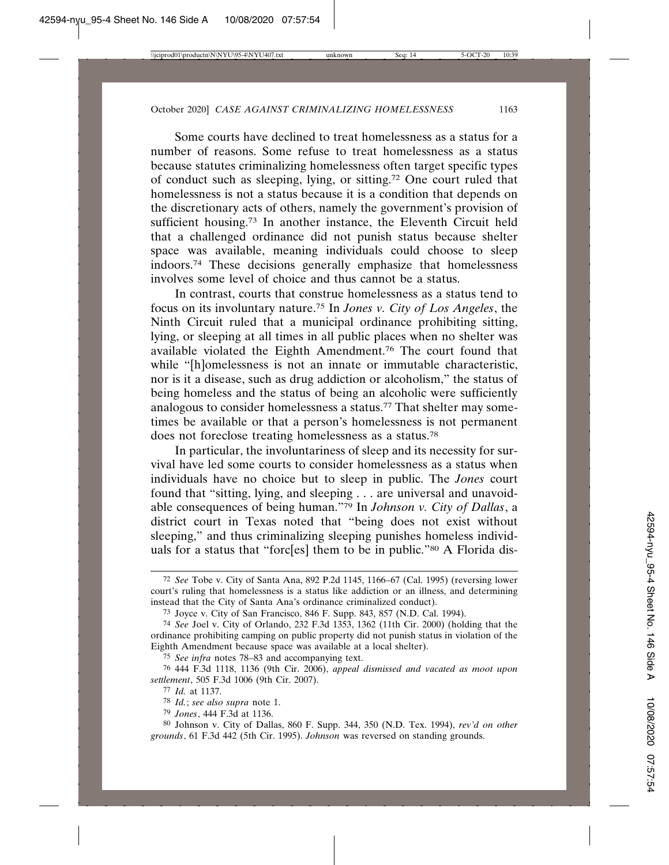Some courts have declined to treat homelessness as a status for a number of reasons. Some refuse to treat homelessness as a status because statutes criminalizing homelessness often target specific types of conduct such as sleeping, lying, or sitting.72 One court ruled that homelessness is not a status because it is a condition that depends on the discretionary acts of others, namely the government's provision of sufficient housing.<sup>73</sup> In another instance, the Eleventh Circuit held that a challenged ordinance did not punish status because shelter space was available, meaning individuals could choose to sleep indoors.74 These decisions generally emphasize that homelessness involves some level of choice and thus cannot be a status.

In contrast, courts that construe homelessness as a status tend to focus on its involuntary nature.75 In *Jones v. City of Los Angeles*, the Ninth Circuit ruled that a municipal ordinance prohibiting sitting, lying, or sleeping at all times in all public places when no shelter was available violated the Eighth Amendment.76 The court found that while "[h]omelessness is not an innate or immutable characteristic, nor is it a disease, such as drug addiction or alcoholism," the status of being homeless and the status of being an alcoholic were sufficiently analogous to consider homelessness a status.77 That shelter may sometimes be available or that a person's homelessness is not permanent does not foreclose treating homelessness as a status.78

In particular, the involuntariness of sleep and its necessity for survival have led some courts to consider homelessness as a status when individuals have no choice but to sleep in public. The *Jones* court found that "sitting, lying, and sleeping . . . are universal and unavoidable consequences of being human."79 In *Johnson v. City of Dallas*, a district court in Texas noted that "being does not exist without sleeping," and thus criminalizing sleeping punishes homeless individuals for a status that "forc[es] them to be in public."80 A Florida dis-

75 *See infra* notes 78–83 and accompanying text.

<sup>72</sup> *See* Tobe v. City of Santa Ana, 892 P.2d 1145, 1166–67 (Cal. 1995) (reversing lower court's ruling that homelessness is a status like addiction or an illness, and determining instead that the City of Santa Ana's ordinance criminalized conduct).

<sup>73</sup> Joyce v. City of San Francisco, 846 F. Supp. 843, 857 (N.D. Cal. 1994).

<sup>74</sup> *See* Joel v. City of Orlando, 232 F.3d 1353, 1362 (11th Cir. 2000) (holding that the ordinance prohibiting camping on public property did not punish status in violation of the Eighth Amendment because space was available at a local shelter).

<sup>76</sup> 444 F.3d 1118, 1136 (9th Cir. 2006), *appeal dismissed and vacated as moot upon settlement*, 505 F.3d 1006 (9th Cir. 2007).

<sup>77</sup> *Id.* at 1137.

<sup>78</sup> *Id.*; *see also supra* note 1.

<sup>79</sup> *Jones*, 444 F.3d at 1136.

<sup>80</sup> Johnson v. City of Dallas, 860 F. Supp. 344, 350 (N.D. Tex. 1994), *rev'd on other grounds*, 61 F.3d 442 (5th Cir. 1995). *Johnson* was reversed on standing grounds.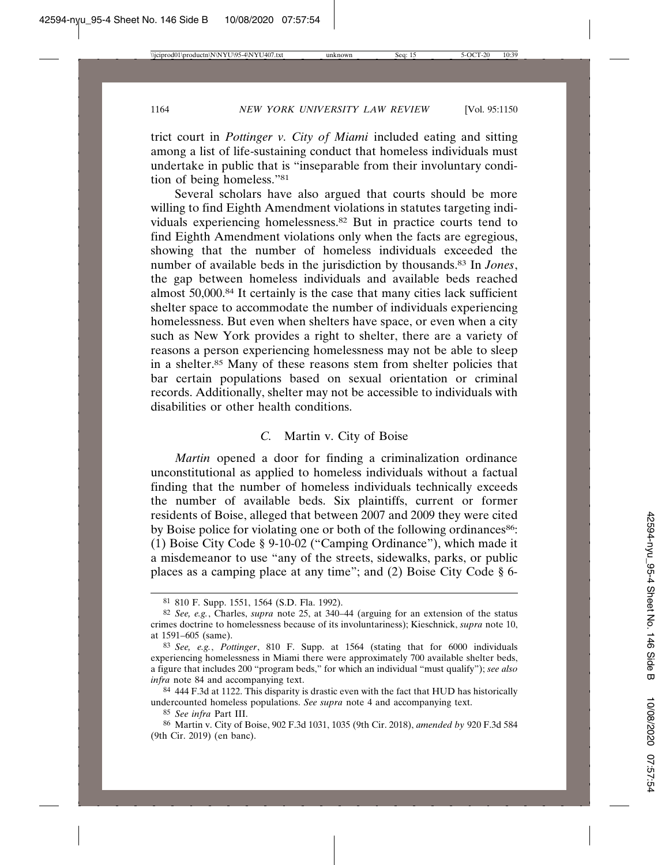trict court in *Pottinger v. City of Miami* included eating and sitting among a list of life-sustaining conduct that homeless individuals must undertake in public that is "inseparable from their involuntary condition of being homeless."81

Several scholars have also argued that courts should be more willing to find Eighth Amendment violations in statutes targeting individuals experiencing homelessness.82 But in practice courts tend to find Eighth Amendment violations only when the facts are egregious, showing that the number of homeless individuals exceeded the number of available beds in the jurisdiction by thousands.83 In *Jones*, the gap between homeless individuals and available beds reached almost 50,000.84 It certainly is the case that many cities lack sufficient shelter space to accommodate the number of individuals experiencing homelessness. But even when shelters have space, or even when a city such as New York provides a right to shelter, there are a variety of reasons a person experiencing homelessness may not be able to sleep in a shelter.85 Many of these reasons stem from shelter policies that bar certain populations based on sexual orientation or criminal records. Additionally, shelter may not be accessible to individuals with disabilities or other health conditions.

#### *C.* Martin v. City of Boise

*Martin* opened a door for finding a criminalization ordinance unconstitutional as applied to homeless individuals without a factual finding that the number of homeless individuals technically exceeds the number of available beds. Six plaintiffs, current or former residents of Boise, alleged that between 2007 and 2009 they were cited by Boise police for violating one or both of the following ordinances<sup>86</sup>: (1) Boise City Code § 9-10-02 ("Camping Ordinance"), which made it a misdemeanor to use "any of the streets, sidewalks, parks, or public places as a camping place at any time"; and (2) Boise City Code § 6-

<sup>81</sup> 810 F. Supp. 1551, 1564 (S.D. Fla. 1992).

<sup>82</sup> *See, e.g.*, Charles, *supra* note 25, at 340–44 (arguing for an extension of the status crimes doctrine to homelessness because of its involuntariness); Kieschnick, *supra* note 10, at 1591–605 (same).

<sup>83</sup> *See, e.g.*, *Pottinger*, 810 F. Supp. at 1564 (stating that for 6000 individuals experiencing homelessness in Miami there were approximately 700 available shelter beds, a figure that includes 200 "program beds," for which an individual "must qualify"); *see also infra* note 84 and accompanying text.

<sup>84</sup> 444 F.3d at 1122. This disparity is drastic even with the fact that HUD has historically undercounted homeless populations. *See supra* note 4 and accompanying text.

<sup>85</sup> *See infra* Part III.

<sup>86</sup> Martin v. City of Boise, 902 F.3d 1031, 1035 (9th Cir. 2018), *amended by* 920 F.3d 584 (9th Cir. 2019) (en banc).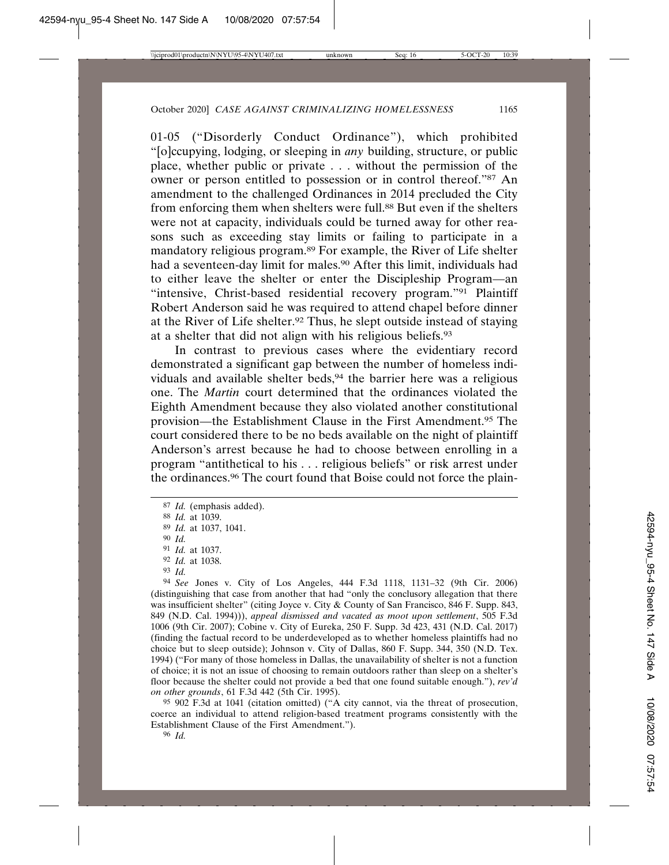01-05 ("Disorderly Conduct Ordinance"), which prohibited "[o]ccupying, lodging, or sleeping in *any* building, structure, or public place, whether public or private . . . without the permission of the owner or person entitled to possession or in control thereof."87 An amendment to the challenged Ordinances in 2014 precluded the City from enforcing them when shelters were full.<sup>88</sup> But even if the shelters were not at capacity, individuals could be turned away for other reasons such as exceeding stay limits or failing to participate in a mandatory religious program.89 For example, the River of Life shelter had a seventeen-day limit for males.90 After this limit, individuals had to either leave the shelter or enter the Discipleship Program—an "intensive, Christ-based residential recovery program."<sup>91</sup> Plaintiff Robert Anderson said he was required to attend chapel before dinner at the River of Life shelter.92 Thus, he slept outside instead of staying at a shelter that did not align with his religious beliefs.93

In contrast to previous cases where the evidentiary record demonstrated a significant gap between the number of homeless individuals and available shelter beds,<sup>94</sup> the barrier here was a religious one. The *Martin* court determined that the ordinances violated the Eighth Amendment because they also violated another constitutional provision—the Establishment Clause in the First Amendment.95 The court considered there to be no beds available on the night of plaintiff Anderson's arrest because he had to choose between enrolling in a program "antithetical to his . . . religious beliefs" or risk arrest under the ordinances.96 The court found that Boise could not force the plain-

94 *See* Jones v. City of Los Angeles, 444 F.3d 1118, 1131–32 (9th Cir. 2006) (distinguishing that case from another that had "only the conclusory allegation that there was insufficient shelter" (citing Joyce v. City & County of San Francisco, 846 F. Supp. 843, 849 (N.D. Cal. 1994))), *appeal dismissed and vacated as moot upon settlement*, 505 F.3d 1006 (9th Cir. 2007); Cobine v. City of Eureka, 250 F. Supp. 3d 423, 431 (N.D. Cal. 2017) (finding the factual record to be underdeveloped as to whether homeless plaintiffs had no choice but to sleep outside); Johnson v. City of Dallas, 860 F. Supp. 344, 350 (N.D. Tex. 1994) ("For many of those homeless in Dallas, the unavailability of shelter is not a function of choice; it is not an issue of choosing to remain outdoors rather than sleep on a shelter's floor because the shelter could not provide a bed that one found suitable enough."), *rev'd on other grounds*, 61 F.3d 442 (5th Cir. 1995).

95 902 F.3d at 1041 (citation omitted) ("A city cannot, via the threat of prosecution, coerce an individual to attend religion-based treatment programs consistently with the Establishment Clause of the First Amendment.").

<sup>87</sup> *Id.* (emphasis added).

<sup>88</sup> *Id.* at 1039.

<sup>89</sup> *Id.* at 1037, 1041.

<sup>90</sup> *Id.*

<sup>91</sup> *Id.* at 1037.

<sup>92</sup> *Id.* at 1038.

<sup>93</sup> *Id.*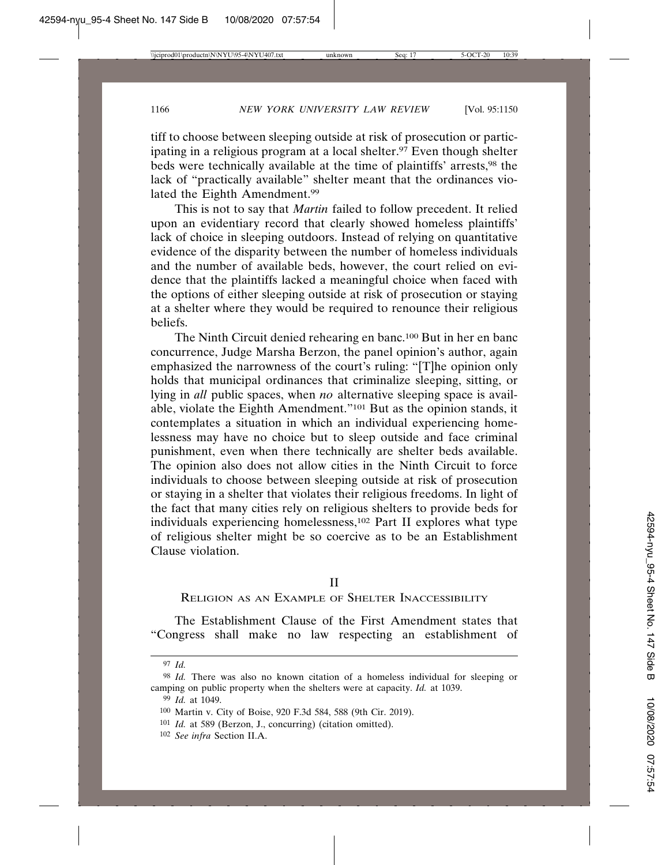tiff to choose between sleeping outside at risk of prosecution or participating in a religious program at a local shelter.<sup>97</sup> Even though shelter beds were technically available at the time of plaintiffs' arrests,<sup>98</sup> the lack of "practically available" shelter meant that the ordinances violated the Eighth Amendment.99

This is not to say that *Martin* failed to follow precedent. It relied upon an evidentiary record that clearly showed homeless plaintiffs' lack of choice in sleeping outdoors. Instead of relying on quantitative evidence of the disparity between the number of homeless individuals and the number of available beds, however, the court relied on evidence that the plaintiffs lacked a meaningful choice when faced with the options of either sleeping outside at risk of prosecution or staying at a shelter where they would be required to renounce their religious beliefs.

The Ninth Circuit denied rehearing en banc.100 But in her en banc concurrence, Judge Marsha Berzon, the panel opinion's author, again emphasized the narrowness of the court's ruling: "[T]he opinion only holds that municipal ordinances that criminalize sleeping, sitting, or lying in *all* public spaces, when *no* alternative sleeping space is available, violate the Eighth Amendment."101 But as the opinion stands, it contemplates a situation in which an individual experiencing homelessness may have no choice but to sleep outside and face criminal punishment, even when there technically are shelter beds available. The opinion also does not allow cities in the Ninth Circuit to force individuals to choose between sleeping outside at risk of prosecution or staying in a shelter that violates their religious freedoms. In light of the fact that many cities rely on religious shelters to provide beds for individuals experiencing homelessness,102 Part II explores what type of religious shelter might be so coercive as to be an Establishment Clause violation.

II

RELIGION AS AN EXAMPLE OF SHELTER INACCESSIBILITY

The Establishment Clause of the First Amendment states that "Congress shall make no law respecting an establishment of

<sup>97</sup> *Id.*

<sup>98</sup> *Id.* There was also no known citation of a homeless individual for sleeping or camping on public property when the shelters were at capacity. *Id.* at 1039.

<sup>99</sup> *Id.* at 1049.

<sup>100</sup> Martin v. City of Boise, 920 F.3d 584, 588 (9th Cir. 2019).

<sup>101</sup> *Id.* at 589 (Berzon, J., concurring) (citation omitted).

<sup>102</sup> *See infra* Section II.A.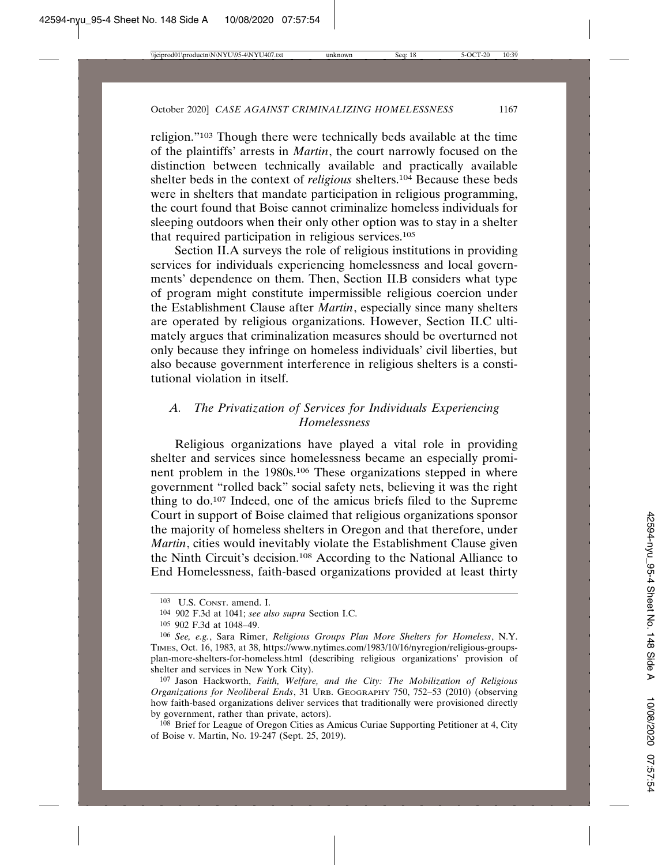religion."103 Though there were technically beds available at the time of the plaintiffs' arrests in *Martin*, the court narrowly focused on the distinction between technically available and practically available shelter beds in the context of *religious* shelters.104 Because these beds were in shelters that mandate participation in religious programming, the court found that Boise cannot criminalize homeless individuals for sleeping outdoors when their only other option was to stay in a shelter that required participation in religious services.105

Section II.A surveys the role of religious institutions in providing services for individuals experiencing homelessness and local governments' dependence on them. Then, Section II.B considers what type of program might constitute impermissible religious coercion under the Establishment Clause after *Martin*, especially since many shelters are operated by religious organizations. However, Section II.C ultimately argues that criminalization measures should be overturned not only because they infringe on homeless individuals' civil liberties, but also because government interference in religious shelters is a constitutional violation in itself.

### *A. The Privatization of Services for Individuals Experiencing Homelessness*

Religious organizations have played a vital role in providing shelter and services since homelessness became an especially prominent problem in the 1980s.106 These organizations stepped in where government "rolled back" social safety nets, believing it was the right thing to do.107 Indeed, one of the amicus briefs filed to the Supreme Court in support of Boise claimed that religious organizations sponsor the majority of homeless shelters in Oregon and that therefore, under *Martin*, cities would inevitably violate the Establishment Clause given the Ninth Circuit's decision.108 According to the National Alliance to End Homelessness, faith-based organizations provided at least thirty

<sup>103</sup> U.S. CONST. amend. I.

<sup>104</sup> 902 F.3d at 1041; *see also supra* Section I.C.

<sup>105</sup> 902 F.3d at 1048–49.

<sup>106</sup> *See, e.g.*, Sara Rimer, *Religious Groups Plan More Shelters for Homeless*, N.Y. TIMES, Oct. 16, 1983, at 38, https://www.nytimes.com/1983/10/16/nyregion/religious-groupsplan-more-shelters-for-homeless.html (describing religious organizations' provision of shelter and services in New York City).

<sup>107</sup> Jason Hackworth, *Faith, Welfare, and the City: The Mobilization of Religious Organizations for Neoliberal Ends*, 31 URB. GEOGRAPHY 750, 752–53 (2010) (observing how faith-based organizations deliver services that traditionally were provisioned directly by government, rather than private, actors).

<sup>108</sup> Brief for League of Oregon Cities as Amicus Curiae Supporting Petitioner at 4, City of Boise v. Martin, No. 19-247 (Sept. 25, 2019).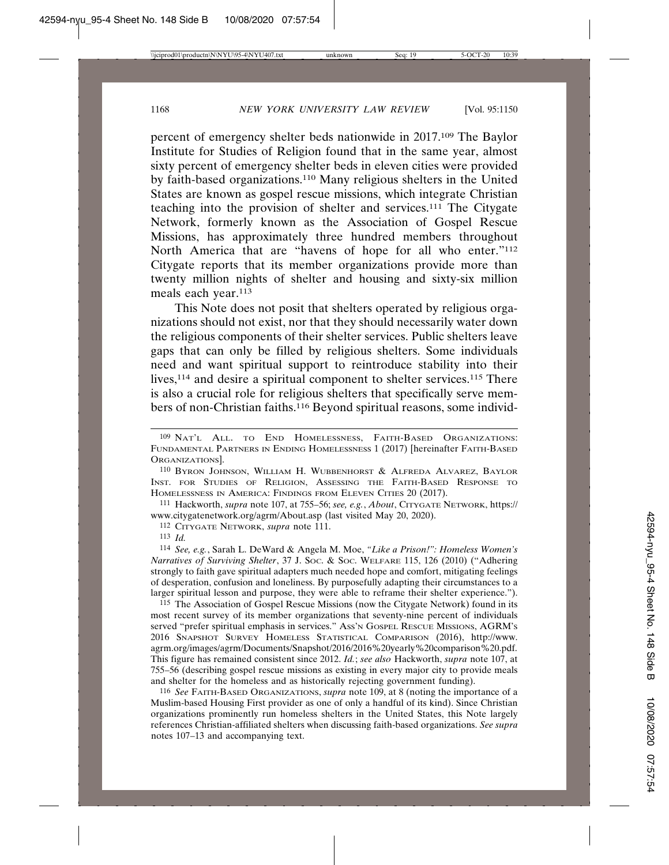percent of emergency shelter beds nationwide in 2017.109 The Baylor Institute for Studies of Religion found that in the same year, almost sixty percent of emergency shelter beds in eleven cities were provided by faith-based organizations.110 Many religious shelters in the United States are known as gospel rescue missions, which integrate Christian teaching into the provision of shelter and services.111 The Citygate Network, formerly known as the Association of Gospel Rescue Missions, has approximately three hundred members throughout North America that are "havens of hope for all who enter."112 Citygate reports that its member organizations provide more than twenty million nights of shelter and housing and sixty-six million meals each year.113

This Note does not posit that shelters operated by religious organizations should not exist, nor that they should necessarily water down the religious components of their shelter services. Public shelters leave gaps that can only be filled by religious shelters. Some individuals need and want spiritual support to reintroduce stability into their lives,<sup>114</sup> and desire a spiritual component to shelter services.<sup>115</sup> There is also a crucial role for religious shelters that specifically serve members of non-Christian faiths.116 Beyond spiritual reasons, some individ-

111 Hackworth, *supra* note 107, at 755–56; *see, e.g.*, *About*, CITYGATE NETWORK, https:// www.citygatenetwork.org/agrm/About.asp (last visited May 20, 2020).

112 CITYGATE NETWORK, *supra* note 111.

113 *Id.*

114 *See, e.g.*, Sarah L. DeWard & Angela M. Moe, *"Like a Prison!": Homeless Women's Narratives of Surviving Shelter*, 37 J. SOC. & SOC. WELFARE 115, 126 (2010) ("Adhering strongly to faith gave spiritual adapters much needed hope and comfort, mitigating feelings of desperation, confusion and loneliness. By purposefully adapting their circumstances to a larger spiritual lesson and purpose, they were able to reframe their shelter experience.").

115 The Association of Gospel Rescue Missions (now the Citygate Network) found in its most recent survey of its member organizations that seventy-nine percent of individuals served "prefer spiritual emphasis in services." ASS'N GOSPEL RESCUE MISSIONS, AGRM'S 2016 SNAPSHOT SURVEY HOMELESS STATISTICAL COMPARISON (2016), http://www. agrm.org/images/agrm/Documents/Snapshot/2016/2016%20yearly%20comparison%20.pdf. This figure has remained consistent since 2012. *Id.*; *see also* Hackworth, *supra* note 107, at 755–56 (describing gospel rescue missions as existing in every major city to provide meals and shelter for the homeless and as historically rejecting government funding).

116 *See* FAITH-BASED ORGANIZATIONS, *supra* note 109, at 8 (noting the importance of a Muslim-based Housing First provider as one of only a handful of its kind). Since Christian organizations prominently run homeless shelters in the United States, this Note largely references Christian-affiliated shelters when discussing faith-based organizations. *See supra* notes 107–13 and accompanying text.

<sup>109</sup> NAT'L ALL. TO END HOMELESSNESS, FAITH-BASED ORGANIZATIONS: FUNDAMENTAL PARTNERS IN ENDING HOMELESSNESS 1 (2017) [hereinafter FAITH-BASED ORGANIZATIONS].

<sup>110</sup> BYRON JOHNSON, WILLIAM H. WUBBENHORST & ALFREDA ALVAREZ, BAYLOR INST. FOR STUDIES OF RELIGION, ASSESSING THE FAITH-BASED RESPONSE TO HOMELESSNESS IN AMERICA: FINDINGS FROM ELEVEN CITIES 20 (2017).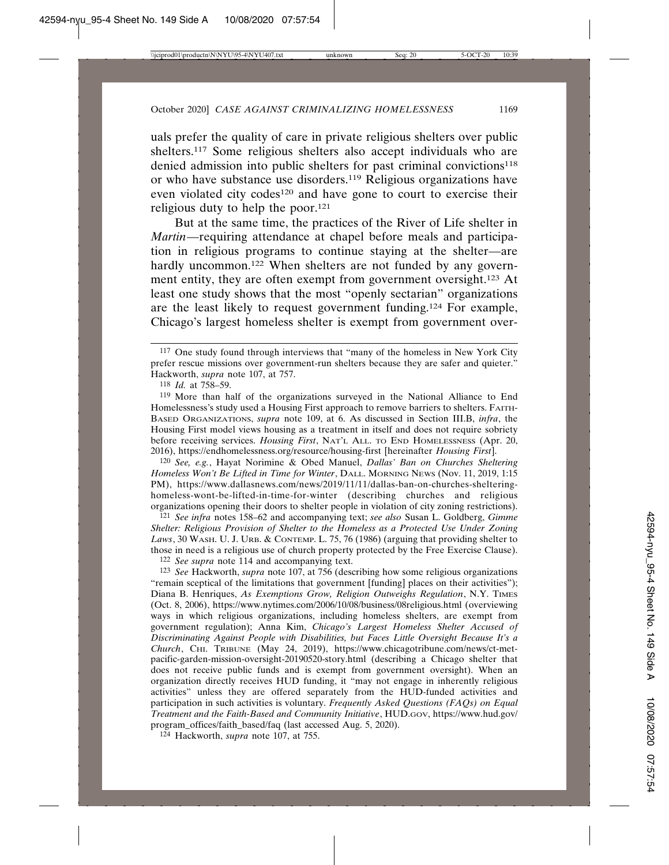uals prefer the quality of care in private religious shelters over public shelters.117 Some religious shelters also accept individuals who are denied admission into public shelters for past criminal convictions<sup>118</sup> or who have substance use disorders.119 Religious organizations have even violated city codes<sup>120</sup> and have gone to court to exercise their religious duty to help the poor.121

But at the same time, the practices of the River of Life shelter in *Martin*—requiring attendance at chapel before meals and participation in religious programs to continue staying at the shelter—are hardly uncommon.<sup>122</sup> When shelters are not funded by any government entity, they are often exempt from government oversight.123 At least one study shows that the most "openly sectarian" organizations are the least likely to request government funding.124 For example, Chicago's largest homeless shelter is exempt from government over-

120 *See, e.g.*, Hayat Norimine & Obed Manuel, *Dallas' Ban on Churches Sheltering Homeless Won't Be Lifted in Time for Winter*, DALL. MORNING NEWS (Nov. 11, 2019, 1:15 PM), https://www.dallasnews.com/news/2019/11/11/dallas-ban-on-churches-shelteringhomeless-wont-be-lifted-in-time-for-winter (describing churches and religious organizations opening their doors to shelter people in violation of city zoning restrictions).

121 *See infra* notes 158–62 and accompanying text; *see also* Susan L. Goldberg, *Gimme Shelter: Religious Provision of Shelter to the Homeless as a Protected Use Under Zoning Laws*, 30 WASH. U. J. URB. & CONTEMP. L. 75, 76 (1986) (arguing that providing shelter to those in need is a religious use of church property protected by the Free Exercise Clause).

122 *See supra* note 114 and accompanying text.

123 *See* Hackworth, *supra* note 107, at 756 (describing how some religious organizations "remain sceptical of the limitations that government [funding] places on their activities"); Diana B. Henriques, *As Exemptions Grow, Religion Outweighs Regulation*, N.Y. TIMES (Oct. 8, 2006), https://www.nytimes.com/2006/10/08/business/08religious.html (overviewing ways in which religious organizations, including homeless shelters, are exempt from government regulation); Anna Kim, *Chicago's Largest Homeless Shelter Accused of Discriminating Against People with Disabilities, but Faces Little Oversight Because It's a Church*, CHI. TRIBUNE (May 24, 2019), https://www.chicagotribune.com/news/ct-metpacific-garden-mission-oversight-20190520-story.html (describing a Chicago shelter that does not receive public funds and is exempt from government oversight). When an organization directly receives HUD funding, it "may not engage in inherently religious activities" unless they are offered separately from the HUD-funded activities and participation in such activities is voluntary. *Frequently Asked Questions (FAQs) on Equal Treatment and the Faith-Based and Community Initiative*, HUD.GOV, https://www.hud.gov/ program\_offices/faith\_based/faq (last accessed Aug. 5, 2020).

124 Hackworth, *supra* note 107, at 755.

<sup>117</sup> One study found through interviews that "many of the homeless in New York City prefer rescue missions over government-run shelters because they are safer and quieter." Hackworth, *supra* note 107, at 757.

<sup>118</sup> *Id.* at 758–59.

<sup>119</sup> More than half of the organizations surveyed in the National Alliance to End Homelessness's study used a Housing First approach to remove barriers to shelters. FAITH-BASED ORGANIZATIONS, *supra* note 109, at 6. As discussed in Section III.B, *infra*, the Housing First model views housing as a treatment in itself and does not require sobriety before receiving services. *Housing First*, NAT'L ALL. TO END HOMELESSNESS (Apr. 20, 2016), https://endhomelessness.org/resource/housing-first [hereinafter *Housing First*].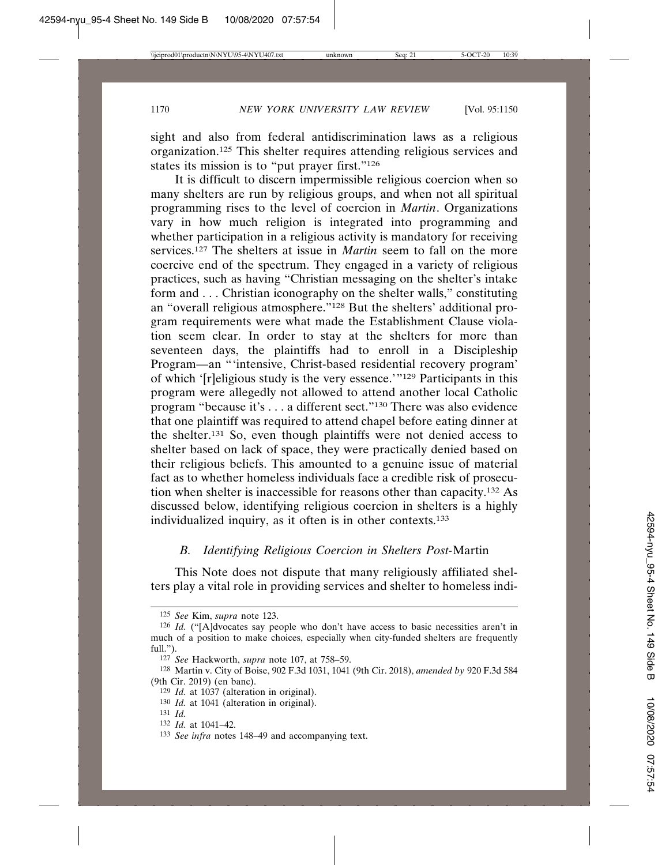sight and also from federal antidiscrimination laws as a religious organization.125 This shelter requires attending religious services and states its mission is to "put prayer first."126

It is difficult to discern impermissible religious coercion when so many shelters are run by religious groups, and when not all spiritual programming rises to the level of coercion in *Martin*. Organizations vary in how much religion is integrated into programming and whether participation in a religious activity is mandatory for receiving services.127 The shelters at issue in *Martin* seem to fall on the more coercive end of the spectrum. They engaged in a variety of religious practices, such as having "Christian messaging on the shelter's intake form and . . . Christian iconography on the shelter walls," constituting an "overall religious atmosphere."128 But the shelters' additional program requirements were what made the Establishment Clause violation seem clear. In order to stay at the shelters for more than seventeen days, the plaintiffs had to enroll in a Discipleship Program—an "'intensive, Christ-based residential recovery program' of which '[r]eligious study is the very essence.'"129 Participants in this program were allegedly not allowed to attend another local Catholic program "because it's . . . a different sect."130 There was also evidence that one plaintiff was required to attend chapel before eating dinner at the shelter.131 So, even though plaintiffs were not denied access to shelter based on lack of space, they were practically denied based on their religious beliefs. This amounted to a genuine issue of material fact as to whether homeless individuals face a credible risk of prosecution when shelter is inaccessible for reasons other than capacity.132 As discussed below, identifying religious coercion in shelters is a highly individualized inquiry, as it often is in other contexts.133

## *B. Identifying Religious Coercion in Shelters Post-*Martin

This Note does not dispute that many religiously affiliated shelters play a vital role in providing services and shelter to homeless indi-

<sup>125</sup> *See* Kim, *supra* note 123.

<sup>126</sup> *Id.* ("[A]dvocates say people who don't have access to basic necessities aren't in much of a position to make choices, especially when city-funded shelters are frequently full.").

<sup>127</sup> *See* Hackworth, *supra* note 107, at 758–59.

<sup>128</sup> Martin v. City of Boise, 902 F.3d 1031, 1041 (9th Cir. 2018), *amended by* 920 F.3d 584 (9th Cir. 2019) (en banc).

<sup>129</sup> *Id.* at 1037 (alteration in original).

<sup>130</sup> *Id.* at 1041 (alteration in original).

<sup>131</sup> *Id.*

<sup>132</sup> *Id.* at 1041–42.

<sup>133</sup> *See infra* notes 148–49 and accompanying text.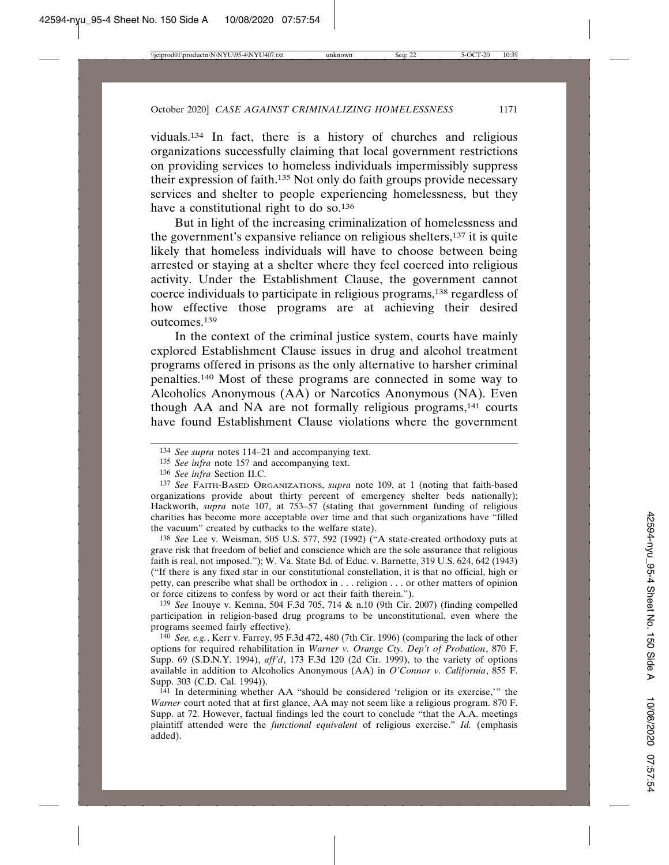viduals.134 In fact, there is a history of churches and religious organizations successfully claiming that local government restrictions on providing services to homeless individuals impermissibly suppress their expression of faith.135 Not only do faith groups provide necessary services and shelter to people experiencing homelessness, but they have a constitutional right to do so.<sup>136</sup>

But in light of the increasing criminalization of homelessness and the government's expansive reliance on religious shelters,137 it is quite likely that homeless individuals will have to choose between being arrested or staying at a shelter where they feel coerced into religious activity. Under the Establishment Clause, the government cannot coerce individuals to participate in religious programs,138 regardless of how effective those programs are at achieving their desired outcomes.139

In the context of the criminal justice system, courts have mainly explored Establishment Clause issues in drug and alcohol treatment programs offered in prisons as the only alternative to harsher criminal penalties.140 Most of these programs are connected in some way to Alcoholics Anonymous (AA) or Narcotics Anonymous (NA). Even though AA and NA are not formally religious programs,<sup>141</sup> courts have found Establishment Clause violations where the government

137 *See* FAITH-BASED ORGANIZATIONS, *supra* note 109, at 1 (noting that faith-based organizations provide about thirty percent of emergency shelter beds nationally); Hackworth, *supra* note 107, at 753–57 (stating that government funding of religious charities has become more acceptable over time and that such organizations have "filled the vacuum" created by cutbacks to the welfare state).

138 *See* Lee v. Weisman, 505 U.S. 577, 592 (1992) ("A state-created orthodoxy puts at grave risk that freedom of belief and conscience which are the sole assurance that religious faith is real, not imposed."); W. Va. State Bd. of Educ. v. Barnette, 319 U.S. 624, 642 (1943) ("If there is any fixed star in our constitutional constellation, it is that no official, high or petty, can prescribe what shall be orthodox in . . . religion . . . or other matters of opinion or force citizens to confess by word or act their faith therein.").

139 *See* Inouye v. Kemna, 504 F.3d 705, 714 & n.10 (9th Cir. 2007) (finding compelled participation in religion-based drug programs to be unconstitutional, even where the programs seemed fairly effective).

140 *See, e.g.*, Kerr v. Farrey, 95 F.3d 472, 480 (7th Cir. 1996) (comparing the lack of other options for required rehabilitation in *Warner v. Orange Cty. Dep't of Probation*, 870 F. Supp. 69 (S.D.N.Y. 1994), *aff'd*, 173 F.3d 120 (2d Cir. 1999), to the variety of options available in addition to Alcoholics Anonymous (AA) in *O'Connor v. California*, 855 F. Supp. 303 (C.D. Cal. 1994)).

141 In determining whether AA "should be considered 'religion or its exercise,'" the *Warner* court noted that at first glance, AA may not seem like a religious program. 870 F. Supp. at 72. However, factual findings led the court to conclude "that the A.A. meetings plaintiff attended were the *functional equivalent* of religious exercise." *Id.* (emphasis added).

<sup>134</sup> *See supra* notes 114–21 and accompanying text.

<sup>135</sup> *See infra* note 157 and accompanying text.

<sup>136</sup> *See infra* Section II.C.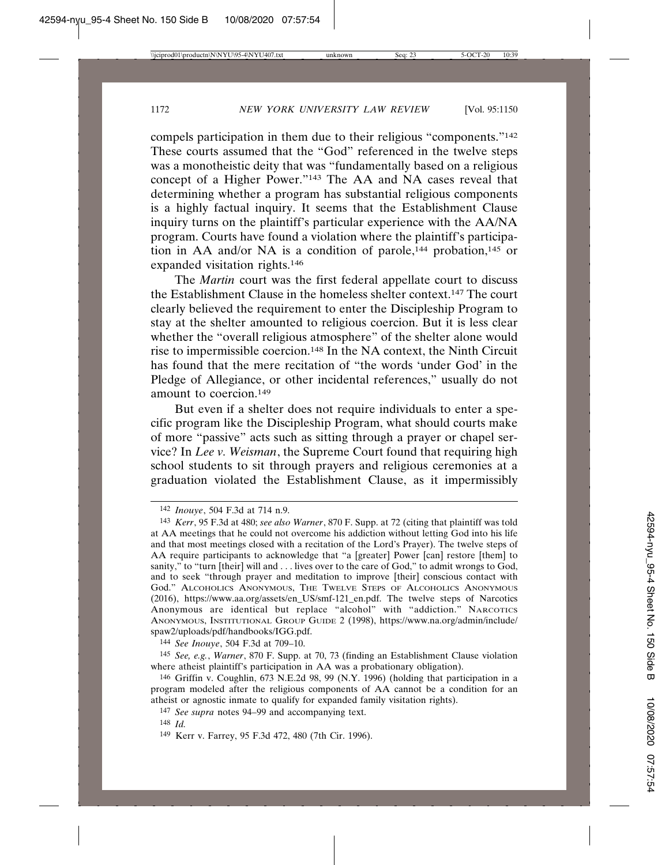compels participation in them due to their religious "components."142 These courts assumed that the "God" referenced in the twelve steps was a monotheistic deity that was "fundamentally based on a religious concept of a Higher Power."143 The AA and NA cases reveal that determining whether a program has substantial religious components is a highly factual inquiry. It seems that the Establishment Clause inquiry turns on the plaintiff's particular experience with the AA/NA program. Courts have found a violation where the plaintiff's participation in AA and/or NA is a condition of parole,<sup>144</sup> probation,<sup>145</sup> or expanded visitation rights.146

The *Martin* court was the first federal appellate court to discuss the Establishment Clause in the homeless shelter context.147 The court clearly believed the requirement to enter the Discipleship Program to stay at the shelter amounted to religious coercion. But it is less clear whether the "overall religious atmosphere" of the shelter alone would rise to impermissible coercion.148 In the NA context, the Ninth Circuit has found that the mere recitation of "the words 'under God' in the Pledge of Allegiance, or other incidental references," usually do not amount to coercion.149

But even if a shelter does not require individuals to enter a specific program like the Discipleship Program, what should courts make of more "passive" acts such as sitting through a prayer or chapel service? In *Lee v. Weisman*, the Supreme Court found that requiring high school students to sit through prayers and religious ceremonies at a graduation violated the Establishment Clause, as it impermissibly

144 *See Inouye*, 504 F.3d at 709–10.

145 *See, e.g.*, *Warner*, 870 F. Supp. at 70, 73 (finding an Establishment Clause violation where atheist plaintiff's participation in AA was a probationary obligation).

146 Griffin v. Coughlin, 673 N.E.2d 98, 99 (N.Y. 1996) (holding that participation in a program modeled after the religious components of AA cannot be a condition for an atheist or agnostic inmate to qualify for expanded family visitation rights).

147 *See supra* notes 94–99 and accompanying text.

<sup>142</sup> *Inouye*, 504 F.3d at 714 n.9.

<sup>143</sup> *Kerr*, 95 F.3d at 480; *see also Warner*, 870 F. Supp. at 72 (citing that plaintiff was told at AA meetings that he could not overcome his addiction without letting God into his life and that most meetings closed with a recitation of the Lord's Prayer). The twelve steps of AA require participants to acknowledge that "a [greater] Power [can] restore [them] to sanity," to "turn [their] will and . . . lives over to the care of God," to admit wrongs to God, and to seek "through prayer and meditation to improve [their] conscious contact with God." ALCOHOLICS ANONYMOUS, THE TWELVE STEPS OF ALCOHOLICS ANONYMOUS (2016), https://www.aa.org/assets/en\_US/smf-121\_en.pdf. The twelve steps of Narcotics Anonymous are identical but replace "alcohol" with "addiction." NARCOTICS ANONYMOUS, INSTITUTIONAL GROUP GUIDE 2 (1998), https://www.na.org/admin/include/ spaw2/uploads/pdf/handbooks/IGG.pdf.

<sup>148</sup> *Id.*

<sup>149</sup> Kerr v. Farrey, 95 F.3d 472, 480 (7th Cir. 1996).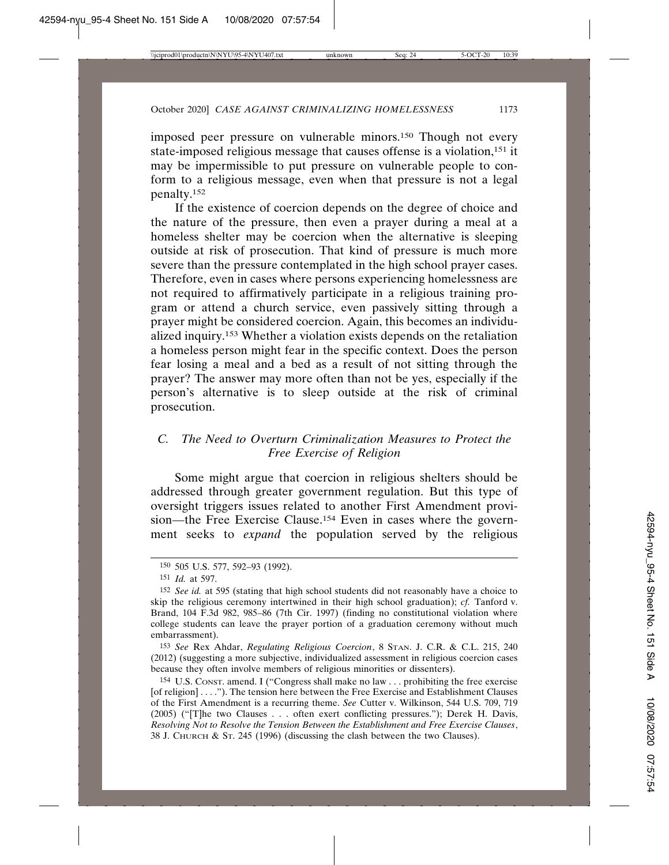imposed peer pressure on vulnerable minors.150 Though not every state-imposed religious message that causes offense is a violation,151 it may be impermissible to put pressure on vulnerable people to conform to a religious message, even when that pressure is not a legal penalty.152

If the existence of coercion depends on the degree of choice and the nature of the pressure, then even a prayer during a meal at a homeless shelter may be coercion when the alternative is sleeping outside at risk of prosecution. That kind of pressure is much more severe than the pressure contemplated in the high school prayer cases. Therefore, even in cases where persons experiencing homelessness are not required to affirmatively participate in a religious training program or attend a church service, even passively sitting through a prayer might be considered coercion. Again, this becomes an individualized inquiry.153 Whether a violation exists depends on the retaliation a homeless person might fear in the specific context. Does the person fear losing a meal and a bed as a result of not sitting through the prayer? The answer may more often than not be yes, especially if the person's alternative is to sleep outside at the risk of criminal prosecution.

### *C. The Need to Overturn Criminalization Measures to Protect the Free Exercise of Religion*

Some might argue that coercion in religious shelters should be addressed through greater government regulation. But this type of oversight triggers issues related to another First Amendment provision—the Free Exercise Clause.154 Even in cases where the government seeks to *expand* the population served by the religious

153 *See* Rex Ahdar, *Regulating Religious Coercion*, 8 STAN. J. C.R. & C.L. 215, 240 (2012) (suggesting a more subjective, individualized assessment in religious coercion cases because they often involve members of religious minorities or dissenters).

154 U.S. CONST. amend. I ("Congress shall make no law . . . prohibiting the free exercise [of religion] . . . ."). The tension here between the Free Exercise and Establishment Clauses of the First Amendment is a recurring theme. *See* Cutter v. Wilkinson, 544 U.S. 709, 719 (2005) ("[T]he two Clauses . . . often exert conflicting pressures."); Derek H. Davis, *Resolving Not to Resolve the Tension Between the Establishment and Free Exercise Clauses*, 38 J. CHURCH & ST. 245 (1996) (discussing the clash between the two Clauses).

<sup>150</sup> 505 U.S. 577, 592–93 (1992).

<sup>151</sup> *Id.* at 597.

<sup>152</sup> *See id.* at 595 (stating that high school students did not reasonably have a choice to skip the religious ceremony intertwined in their high school graduation); *cf.* Tanford v. Brand, 104 F.3d 982, 985–86 (7th Cir. 1997) (finding no constitutional violation where college students can leave the prayer portion of a graduation ceremony without much embarrassment).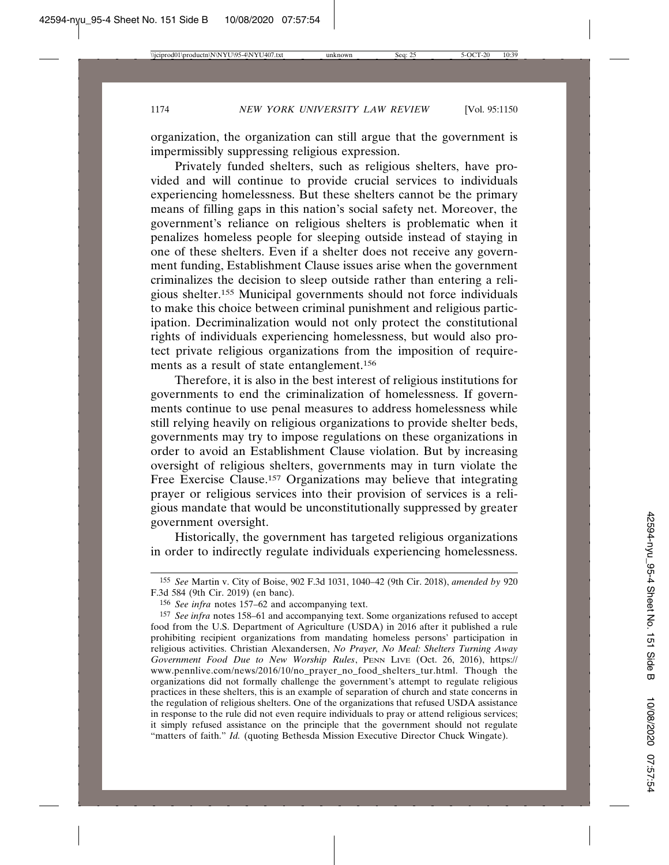organization, the organization can still argue that the government is impermissibly suppressing religious expression.

Privately funded shelters, such as religious shelters, have provided and will continue to provide crucial services to individuals experiencing homelessness. But these shelters cannot be the primary means of filling gaps in this nation's social safety net. Moreover, the government's reliance on religious shelters is problematic when it penalizes homeless people for sleeping outside instead of staying in one of these shelters. Even if a shelter does not receive any government funding, Establishment Clause issues arise when the government criminalizes the decision to sleep outside rather than entering a religious shelter.155 Municipal governments should not force individuals to make this choice between criminal punishment and religious participation. Decriminalization would not only protect the constitutional rights of individuals experiencing homelessness, but would also protect private religious organizations from the imposition of requirements as a result of state entanglement.156

Therefore, it is also in the best interest of religious institutions for governments to end the criminalization of homelessness. If governments continue to use penal measures to address homelessness while still relying heavily on religious organizations to provide shelter beds, governments may try to impose regulations on these organizations in order to avoid an Establishment Clause violation. But by increasing oversight of religious shelters, governments may in turn violate the Free Exercise Clause.<sup>157</sup> Organizations may believe that integrating prayer or religious services into their provision of services is a religious mandate that would be unconstitutionally suppressed by greater government oversight.

Historically, the government has targeted religious organizations in order to indirectly regulate individuals experiencing homelessness.

<sup>155</sup> *See* Martin v. City of Boise, 902 F.3d 1031, 1040–42 (9th Cir. 2018), *amended by* 920 F.3d 584 (9th Cir. 2019) (en banc).

<sup>156</sup> *See infra* notes 157–62 and accompanying text.

<sup>157</sup> *See infra* notes 158–61 and accompanying text. Some organizations refused to accept food from the U.S. Department of Agriculture (USDA) in 2016 after it published a rule prohibiting recipient organizations from mandating homeless persons' participation in religious activities. Christian Alexandersen, *No Prayer, No Meal: Shelters Turning Away Government Food Due to New Worship Rules*, PENN LIVE (Oct. 26, 2016), https:// www.pennlive.com/news/2016/10/no\_prayer\_no\_food\_shelters\_tur.html. Though the organizations did not formally challenge the government's attempt to regulate religious practices in these shelters, this is an example of separation of church and state concerns in the regulation of religious shelters. One of the organizations that refused USDA assistance in response to the rule did not even require individuals to pray or attend religious services; it simply refused assistance on the principle that the government should not regulate "matters of faith." *Id.* (quoting Bethesda Mission Executive Director Chuck Wingate).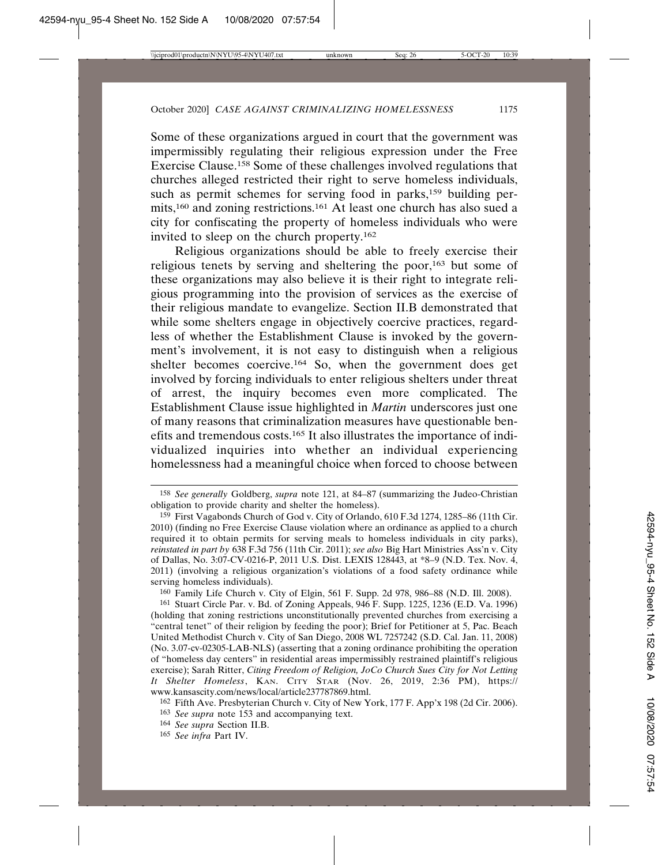Some of these organizations argued in court that the government was impermissibly regulating their religious expression under the Free Exercise Clause.158 Some of these challenges involved regulations that churches alleged restricted their right to serve homeless individuals, such as permit schemes for serving food in parks,<sup>159</sup> building permits,160 and zoning restrictions.161 At least one church has also sued a city for confiscating the property of homeless individuals who were invited to sleep on the church property.162

Religious organizations should be able to freely exercise their religious tenets by serving and sheltering the poor,163 but some of these organizations may also believe it is their right to integrate religious programming into the provision of services as the exercise of their religious mandate to evangelize. Section II.B demonstrated that while some shelters engage in objectively coercive practices, regardless of whether the Establishment Clause is invoked by the government's involvement, it is not easy to distinguish when a religious shelter becomes coercive.164 So, when the government does get involved by forcing individuals to enter religious shelters under threat of arrest, the inquiry becomes even more complicated. The Establishment Clause issue highlighted in *Martin* underscores just one of many reasons that criminalization measures have questionable benefits and tremendous costs.165 It also illustrates the importance of individualized inquiries into whether an individual experiencing homelessness had a meaningful choice when forced to choose between

160 Family Life Church v. City of Elgin, 561 F. Supp. 2d 978, 986–88 (N.D. Ill. 2008).

161 Stuart Circle Par. v. Bd. of Zoning Appeals, 946 F. Supp. 1225, 1236 (E.D. Va. 1996) (holding that zoning restrictions unconstitutionally prevented churches from exercising a "central tenet" of their religion by feeding the poor); Brief for Petitioner at 5, Pac. Beach United Methodist Church v. City of San Diego, 2008 WL 7257242 (S.D. Cal. Jan. 11, 2008) (No. 3.07-cv-02305-LAB-NLS) (asserting that a zoning ordinance prohibiting the operation of "homeless day centers" in residential areas impermissibly restrained plaintiff's religious exercise); Sarah Ritter, *Citing Freedom of Religion, JoCo Church Sues City for Not Letting It Shelter Homeless*, KAN. CITY STAR (Nov. 26, 2019, 2:36 PM), https:// www.kansascity.com/news/local/article237787869.html.

<sup>158</sup> *See generally* Goldberg, *supra* note 121, at 84–87 (summarizing the Judeo-Christian obligation to provide charity and shelter the homeless).

<sup>159</sup> First Vagabonds Church of God v. City of Orlando, 610 F.3d 1274, 1285–86 (11th Cir. 2010) (finding no Free Exercise Clause violation where an ordinance as applied to a church required it to obtain permits for serving meals to homeless individuals in city parks), *reinstated in part by* 638 F.3d 756 (11th Cir. 2011); *see also* Big Hart Ministries Ass'n v. City of Dallas, No. 3:07-CV-0216-P, 2011 U.S. Dist. LEXIS 128443, at \*8–9 (N.D. Tex. Nov. 4, 2011) (involving a religious organization's violations of a food safety ordinance while serving homeless individuals).

<sup>162</sup> Fifth Ave. Presbyterian Church v. City of New York, 177 F. App'x 198 (2d Cir. 2006). 163 *See supra* note 153 and accompanying text.

<sup>164</sup> *See supra* Section II.B.

<sup>165</sup> *See infra* Part IV.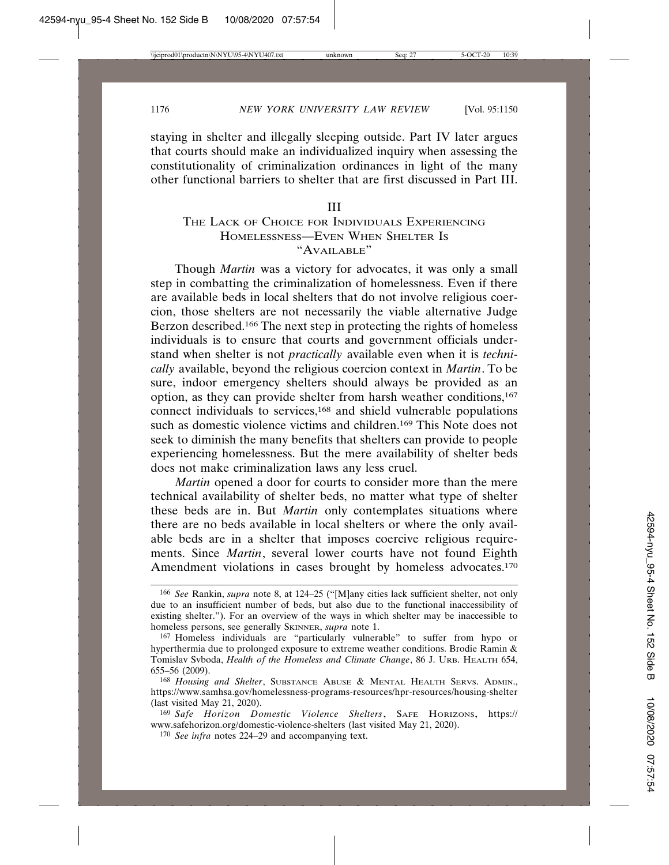staying in shelter and illegally sleeping outside. Part IV later argues that courts should make an individualized inquiry when assessing the constitutionality of criminalization ordinances in light of the many other functional barriers to shelter that are first discussed in Part III.

#### III

### THE LACK OF CHOICE FOR INDIVIDUALS EXPERIENCING HOMELESSNESS—EVEN WHEN SHELTER IS "AVAILABLE"

Though *Martin* was a victory for advocates, it was only a small step in combatting the criminalization of homelessness. Even if there are available beds in local shelters that do not involve religious coercion, those shelters are not necessarily the viable alternative Judge Berzon described.166 The next step in protecting the rights of homeless individuals is to ensure that courts and government officials understand when shelter is not *practically* available even when it is *technically* available, beyond the religious coercion context in *Martin*. To be sure, indoor emergency shelters should always be provided as an option, as they can provide shelter from harsh weather conditions,167 connect individuals to services,168 and shield vulnerable populations such as domestic violence victims and children.169 This Note does not seek to diminish the many benefits that shelters can provide to people experiencing homelessness. But the mere availability of shelter beds does not make criminalization laws any less cruel.

*Martin* opened a door for courts to consider more than the mere technical availability of shelter beds, no matter what type of shelter these beds are in. But *Martin* only contemplates situations where there are no beds available in local shelters or where the only available beds are in a shelter that imposes coercive religious requirements. Since *Martin*, several lower courts have not found Eighth Amendment violations in cases brought by homeless advocates.<sup>170</sup>

<sup>166</sup> *See* Rankin, *supra* note 8, at 124–25 ("[M]any cities lack sufficient shelter, not only due to an insufficient number of beds, but also due to the functional inaccessibility of existing shelter."). For an overview of the ways in which shelter may be inaccessible to homeless persons, see generally SKINNER, *supra* note 1.

<sup>167</sup> Homeless individuals are "particularly vulnerable" to suffer from hypo or hyperthermia due to prolonged exposure to extreme weather conditions. Brodie Ramin & Tomislav Svboda, *Health of the Homeless and Climate Change*, 86 J. URB. HEALTH 654, 655–56 (2009).

<sup>168</sup> *Housing and Shelter*, SUBSTANCE ABUSE & MENTAL HEALTH SERVS. ADMIN., https://www.samhsa.gov/homelessness-programs-resources/hpr-resources/housing-shelter (last visited May 21, 2020).

<sup>169</sup> *Safe Horizon Domestic Violence Shelters*, SAFE HORIZONS, https:// www.safehorizon.org/domestic-violence-shelters (last visited May 21, 2020).

<sup>170</sup> *See infra* notes 224–29 and accompanying text.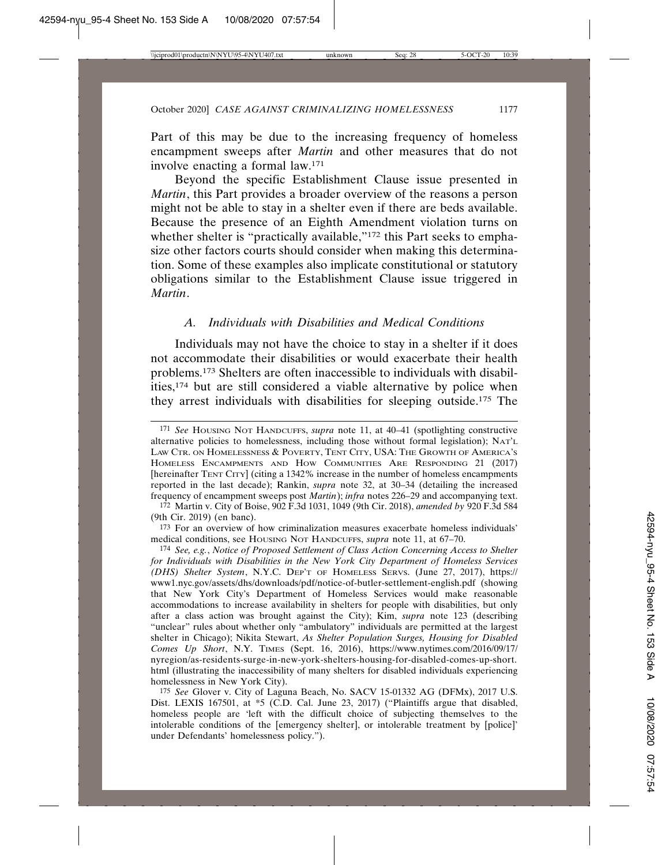Part of this may be due to the increasing frequency of homeless encampment sweeps after *Martin* and other measures that do not involve enacting a formal law.171

Beyond the specific Establishment Clause issue presented in *Martin*, this Part provides a broader overview of the reasons a person might not be able to stay in a shelter even if there are beds available. Because the presence of an Eighth Amendment violation turns on whether shelter is "practically available,"<sup>172</sup> this Part seeks to emphasize other factors courts should consider when making this determination. Some of these examples also implicate constitutional or statutory obligations similar to the Establishment Clause issue triggered in *Martin*.

#### *A. Individuals with Disabilities and Medical Conditions*

Individuals may not have the choice to stay in a shelter if it does not accommodate their disabilities or would exacerbate their health problems.173 Shelters are often inaccessible to individuals with disabilities,174 but are still considered a viable alternative by police when they arrest individuals with disabilities for sleeping outside.175 The

<sup>171</sup> *See* HOUSING NOT HANDCUFFS, *supra* note 11, at 40–41 (spotlighting constructive alternative policies to homelessness, including those without formal legislation); NAT'L LAW CTR. ON HOMELESSNESS & POVERTY, TENT CITY, USA: THE GROWTH OF AMERICA'S HOMELESS ENCAMPMENTS AND HOW COMMUNITIES ARE RESPONDING 21 (2017) [hereinafter TENT CITY] (citing a 1342% increase in the number of homeless encampments reported in the last decade); Rankin, *supra* note 32, at 30–34 (detailing the increased frequency of encampment sweeps post *Martin*); *infra* notes 226–29 and accompanying text.

<sup>172</sup> Martin v. City of Boise, 902 F.3d 1031, 1049 (9th Cir. 2018), *amended by* 920 F.3d 584 (9th Cir. 2019) (en banc).

<sup>173</sup> For an overview of how criminalization measures exacerbate homeless individuals' medical conditions, see HOUSING NOT HANDCUFFS, *supra* note 11, at 67–70.

<sup>174</sup> *See, e.g.*, *Notice of Proposed Settlement of Class Action Concerning Access to Shelter for Individuals with Disabilities in the New York City Department of Homeless Services (DHS) Shelter System*, N.Y.C. DEP'T OF HOMELESS SERVS. (June 27, 2017), https:// www1.nyc.gov/assets/dhs/downloads/pdf/notice-of-butler-settlement-english.pdf (showing that New York City's Department of Homeless Services would make reasonable accommodations to increase availability in shelters for people with disabilities, but only after a class action was brought against the City); Kim, *supra* note 123 (describing "unclear" rules about whether only "ambulatory" individuals are permitted at the largest shelter in Chicago); Nikita Stewart, *As Shelter Population Surges, Housing for Disabled Comes Up Short*, N.Y. TIMES (Sept. 16, 2016), https://www.nytimes.com/2016/09/17/ nyregion/as-residents-surge-in-new-york-shelters-housing-for-disabled-comes-up-short. html (illustrating the inaccessibility of many shelters for disabled individuals experiencing homelessness in New York City).

<sup>175</sup> *See* Glover v. City of Laguna Beach, No. SACV 15-01332 AG (DFMx), 2017 U.S. Dist. LEXIS 167501, at \*5 (C.D. Cal. June 23, 2017) ("Plaintiffs argue that disabled, homeless people are 'left with the difficult choice of subjecting themselves to the intolerable conditions of the [emergency shelter], or intolerable treatment by [police]' under Defendants' homelessness policy.").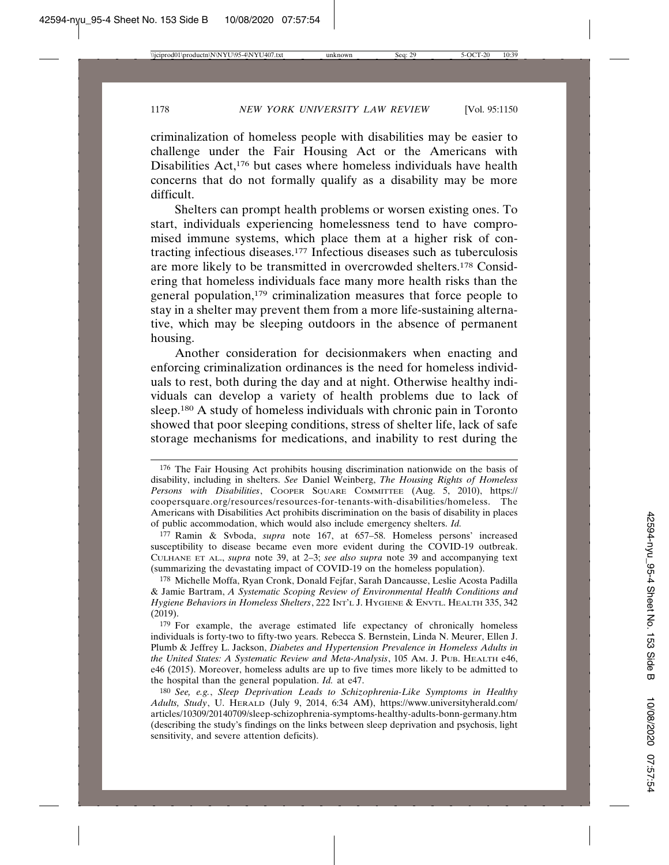criminalization of homeless people with disabilities may be easier to challenge under the Fair Housing Act or the Americans with Disabilities Act,<sup>176</sup> but cases where homeless individuals have health concerns that do not formally qualify as a disability may be more difficult.

Shelters can prompt health problems or worsen existing ones. To start, individuals experiencing homelessness tend to have compromised immune systems, which place them at a higher risk of contracting infectious diseases.177 Infectious diseases such as tuberculosis are more likely to be transmitted in overcrowded shelters.178 Considering that homeless individuals face many more health risks than the general population,179 criminalization measures that force people to stay in a shelter may prevent them from a more life-sustaining alternative, which may be sleeping outdoors in the absence of permanent housing.

Another consideration for decisionmakers when enacting and enforcing criminalization ordinances is the need for homeless individuals to rest, both during the day and at night. Otherwise healthy individuals can develop a variety of health problems due to lack of sleep.180 A study of homeless individuals with chronic pain in Toronto showed that poor sleeping conditions, stress of shelter life, lack of safe storage mechanisms for medications, and inability to rest during the

177 Ramin & Svboda, *supra* note 167, at 657–58. Homeless persons' increased susceptibility to disease became even more evident during the COVID-19 outbreak. CULHANE ET AL., *supra* note 39, at 2–3; *see also supra* note 39 and accompanying text (summarizing the devastating impact of COVID-19 on the homeless population).

178 Michelle Moffa, Ryan Cronk, Donald Fejfar, Sarah Dancausse, Leslie Acosta Padilla & Jamie Bartram, *A Systematic Scoping Review of Environmental Health Conditions and Hygiene Behaviors in Homeless Shelters*, 222 INT'L J. HYGIENE & ENVTL. HEALTH 335, 342 (2019).

179 For example, the average estimated life expectancy of chronically homeless individuals is forty-two to fifty-two years. Rebecca S. Bernstein, Linda N. Meurer, Ellen J. Plumb & Jeffrey L. Jackson, *Diabetes and Hypertension Prevalence in Homeless Adults in the United States: A Systematic Review and Meta-Analysis*, 105 AM. J. PUB. HEALTH e46, e46 (2015). Moreover, homeless adults are up to five times more likely to be admitted to the hospital than the general population. *Id.* at e47.

180 *See, e.g.*, *Sleep Deprivation Leads to Schizophrenia-Like Symptoms in Healthy Adults, Study*, U. HERALD (July 9, 2014, 6:34 AM), https://www.universityherald.com/ articles/10309/20140709/sleep-schizophrenia-symptoms-healthy-adults-bonn-germany.htm (describing the study's findings on the links between sleep deprivation and psychosis, light sensitivity, and severe attention deficits).

<sup>176</sup> The Fair Housing Act prohibits housing discrimination nationwide on the basis of disability, including in shelters. *See* Daniel Weinberg, *The Housing Rights of Homeless Persons with Disabilities*, COOPER SQUARE COMMITTEE (Aug. 5, 2010), https:// coopersquare.org/resources/resources-for-tenants-with-disabilities/homeless. The Americans with Disabilities Act prohibits discrimination on the basis of disability in places of public accommodation, which would also include emergency shelters. *Id.*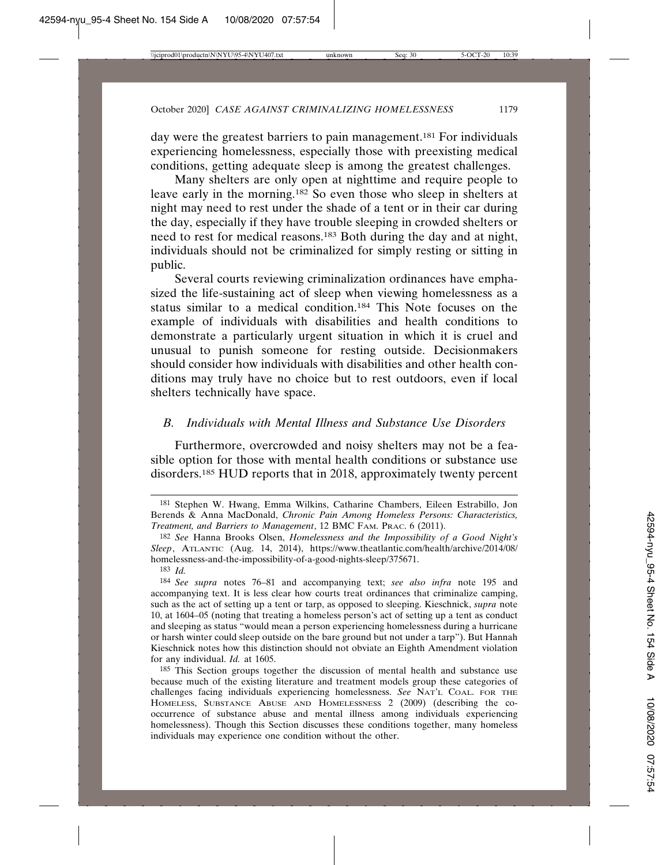day were the greatest barriers to pain management.<sup>181</sup> For individuals experiencing homelessness, especially those with preexisting medical conditions, getting adequate sleep is among the greatest challenges.

Many shelters are only open at nighttime and require people to leave early in the morning.182 So even those who sleep in shelters at night may need to rest under the shade of a tent or in their car during the day, especially if they have trouble sleeping in crowded shelters or need to rest for medical reasons.183 Both during the day and at night, individuals should not be criminalized for simply resting or sitting in public.

Several courts reviewing criminalization ordinances have emphasized the life-sustaining act of sleep when viewing homelessness as a status similar to a medical condition.184 This Note focuses on the example of individuals with disabilities and health conditions to demonstrate a particularly urgent situation in which it is cruel and unusual to punish someone for resting outside. Decisionmakers should consider how individuals with disabilities and other health conditions may truly have no choice but to rest outdoors, even if local shelters technically have space.

#### *B. Individuals with Mental Illness and Substance Use Disorders*

Furthermore, overcrowded and noisy shelters may not be a feasible option for those with mental health conditions or substance use disorders.185 HUD reports that in 2018, approximately twenty percent

185 This Section groups together the discussion of mental health and substance use because much of the existing literature and treatment models group these categories of challenges facing individuals experiencing homelessness. *See* NAT'L COAL. FOR THE HOMELESS, SUBSTANCE ABUSE AND HOMELESSNESS 2 (2009) (describing the cooccurrence of substance abuse and mental illness among individuals experiencing homelessness). Though this Section discusses these conditions together, many homeless individuals may experience one condition without the other.

<sup>181</sup> Stephen W. Hwang, Emma Wilkins, Catharine Chambers, Eileen Estrabillo, Jon Berends & Anna MacDonald, *Chronic Pain Among Homeless Persons: Characteristics, Treatment, and Barriers to Management*, 12 BMC FAM. PRAC. 6 (2011).

<sup>182</sup> *See* Hanna Brooks Olsen, *Homelessness and the Impossibility of a Good Night's Sleep*, ATLANTIC (Aug. 14, 2014), https://www.theatlantic.com/health/archive/2014/08/ homelessness-and-the-impossibility-of-a-good-nights-sleep/375671.

<sup>183</sup> *Id.*

<sup>184</sup> *See supra* notes 76–81 and accompanying text; *see also infra* note 195 and accompanying text. It is less clear how courts treat ordinances that criminalize camping, such as the act of setting up a tent or tarp, as opposed to sleeping. Kieschnick, *supra* note 10, at 1604–05 (noting that treating a homeless person's act of setting up a tent as conduct and sleeping as status "would mean a person experiencing homelessness during a hurricane or harsh winter could sleep outside on the bare ground but not under a tarp"). But Hannah Kieschnick notes how this distinction should not obviate an Eighth Amendment violation for any individual. *Id.* at 1605.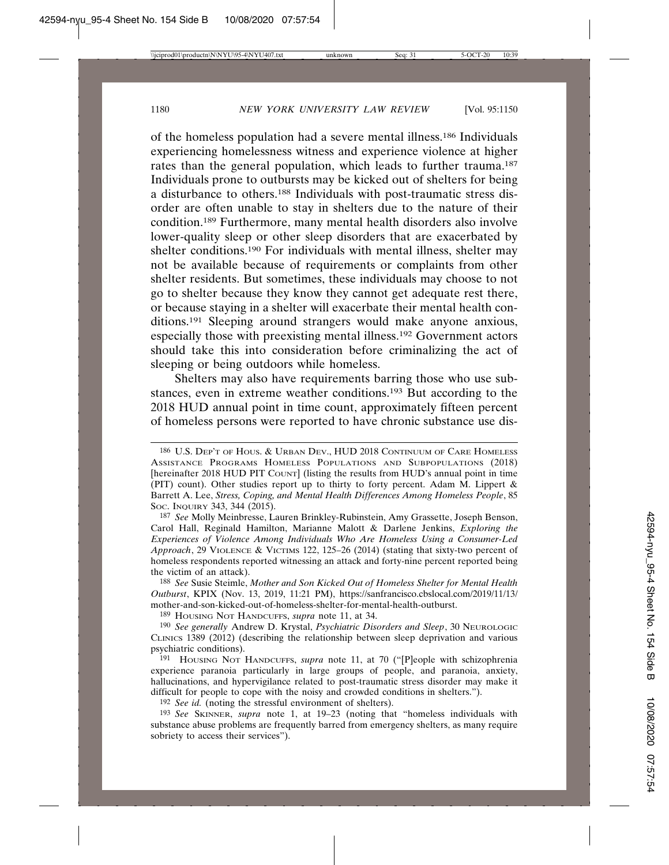of the homeless population had a severe mental illness.186 Individuals experiencing homelessness witness and experience violence at higher rates than the general population, which leads to further trauma.187 Individuals prone to outbursts may be kicked out of shelters for being a disturbance to others.188 Individuals with post-traumatic stress disorder are often unable to stay in shelters due to the nature of their condition.189 Furthermore, many mental health disorders also involve lower-quality sleep or other sleep disorders that are exacerbated by shelter conditions.190 For individuals with mental illness, shelter may not be available because of requirements or complaints from other shelter residents. But sometimes, these individuals may choose to not go to shelter because they know they cannot get adequate rest there, or because staying in a shelter will exacerbate their mental health conditions.191 Sleeping around strangers would make anyone anxious, especially those with preexisting mental illness.192 Government actors should take this into consideration before criminalizing the act of sleeping or being outdoors while homeless.

Shelters may also have requirements barring those who use substances, even in extreme weather conditions.193 But according to the 2018 HUD annual point in time count, approximately fifteen percent of homeless persons were reported to have chronic substance use dis-

188 *See* Susie Steimle, *Mother and Son Kicked Out of Homeless Shelter for Mental Health Outburst*, KPIX (Nov. 13, 2019, 11:21 PM), https://sanfrancisco.cbslocal.com/2019/11/13/ mother-and-son-kicked-out-of-homeless-shelter-for-mental-health-outburst.

189 HOUSING NOT HANDCUFFS, *supra* note 11, at 34.

190 *See generally* Andrew D. Krystal, *Psychiatric Disorders and Sleep*, 30 NEUROLOGIC CLINICS 1389 (2012) (describing the relationship between sleep deprivation and various psychiatric conditions).

191 HOUSING NOT HANDCUFFS, *supra* note 11, at 70 ("[P]eople with schizophrenia experience paranoia particularly in large groups of people, and paranoia, anxiety, hallucinations, and hypervigilance related to post-traumatic stress disorder may make it difficult for people to cope with the noisy and crowded conditions in shelters.").

192 *See id.* (noting the stressful environment of shelters).

193 *See* SKINNER, *supra* note 1, at 19–23 (noting that "homeless individuals with substance abuse problems are frequently barred from emergency shelters, as many require sobriety to access their services").

<sup>186</sup> U.S. DEP'T OF HOUS. & URBAN DEV., HUD 2018 CONTINUUM OF CARE HOMELESS ASSISTANCE PROGRAMS HOMELESS POPULATIONS AND SUBPOPULATIONS (2018) [hereinafter 2018 HUD PIT COUNT] (listing the results from HUD's annual point in time (PIT) count). Other studies report up to thirty to forty percent. Adam M. Lippert & Barrett A. Lee, *Stress, Coping, and Mental Health Differences Among Homeless People*, 85 SOC. INQUIRY 343, 344 (2015).

<sup>187</sup> *See* Molly Meinbresse, Lauren Brinkley-Rubinstein, Amy Grassette, Joseph Benson, Carol Hall, Reginald Hamilton, Marianne Malott & Darlene Jenkins, *Exploring the Experiences of Violence Among Individuals Who Are Homeless Using a Consumer-Led Approach*, 29 VIOLENCE & VICTIMS 122, 125–26 (2014) (stating that sixty-two percent of homeless respondents reported witnessing an attack and forty-nine percent reported being the victim of an attack).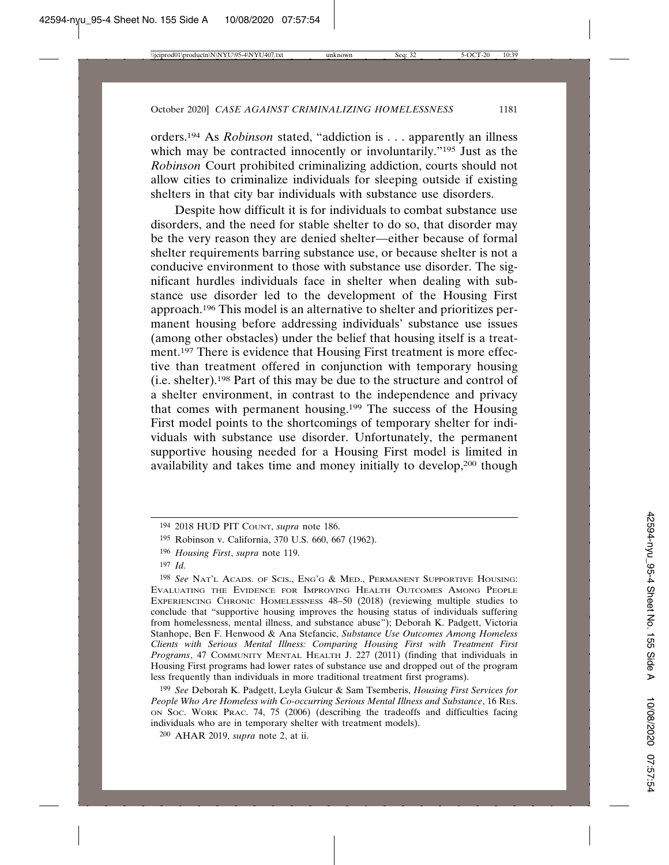orders.194 As *Robinson* stated, "addiction is . . . apparently an illness which may be contracted innocently or involuntarily."<sup>195</sup> Just as the *Robinson* Court prohibited criminalizing addiction, courts should not allow cities to criminalize individuals for sleeping outside if existing shelters in that city bar individuals with substance use disorders.

Despite how difficult it is for individuals to combat substance use disorders, and the need for stable shelter to do so, that disorder may be the very reason they are denied shelter—either because of formal shelter requirements barring substance use, or because shelter is not a conducive environment to those with substance use disorder. The significant hurdles individuals face in shelter when dealing with substance use disorder led to the development of the Housing First approach.196 This model is an alternative to shelter and prioritizes permanent housing before addressing individuals' substance use issues (among other obstacles) under the belief that housing itself is a treatment.<sup>197</sup> There is evidence that Housing First treatment is more effective than treatment offered in conjunction with temporary housing (i.e. shelter).198 Part of this may be due to the structure and control of a shelter environment, in contrast to the independence and privacy that comes with permanent housing.199 The success of the Housing First model points to the shortcomings of temporary shelter for individuals with substance use disorder. Unfortunately, the permanent supportive housing needed for a Housing First model is limited in availability and takes time and money initially to develop,200 though

<sup>194</sup> 2018 HUD PIT COUNT, *supra* note 186.

<sup>195</sup> Robinson v. California, 370 U.S. 660, 667 (1962).

<sup>196</sup> *Housing First*, *supra* note 119.

<sup>197</sup> *Id.*

<sup>198</sup> *See* NAT'L ACADS. OF SCIS., ENG'G & MED., PERMANENT SUPPORTIVE HOUSING: EVALUATING THE EVIDENCE FOR IMPROVING HEALTH OUTCOMES AMONG PEOPLE EXPERIENCING CHRONIC HOMELESSNESS 48–50 (2018) (reviewing multiple studies to conclude that "supportive housing improves the housing status of individuals suffering from homelessness, mental illness, and substance abuse"); Deborah K. Padgett, Victoria Stanhope, Ben F. Henwood & Ana Stefancic, *Substance Use Outcomes Among Homeless Clients with Serious Mental Illness: Comparing Housing First with Treatment First Programs*, 47 COMMUNITY MENTAL HEALTH J. 227 (2011) (finding that individuals in Housing First programs had lower rates of substance use and dropped out of the program less frequently than individuals in more traditional treatment first programs).

<sup>199</sup> *See* Deborah K. Padgett, Leyla Gulcur & Sam Tsemberis, *Housing First Services for People Who Are Homeless with Co-occurring Serious Mental Illness and Substance*, 16 RES. ON SOC. WORK PRAC. 74, 75 (2006) (describing the tradeoffs and difficulties facing individuals who are in temporary shelter with treatment models).

<sup>200</sup> AHAR 2019, *supra* note 2, at ii.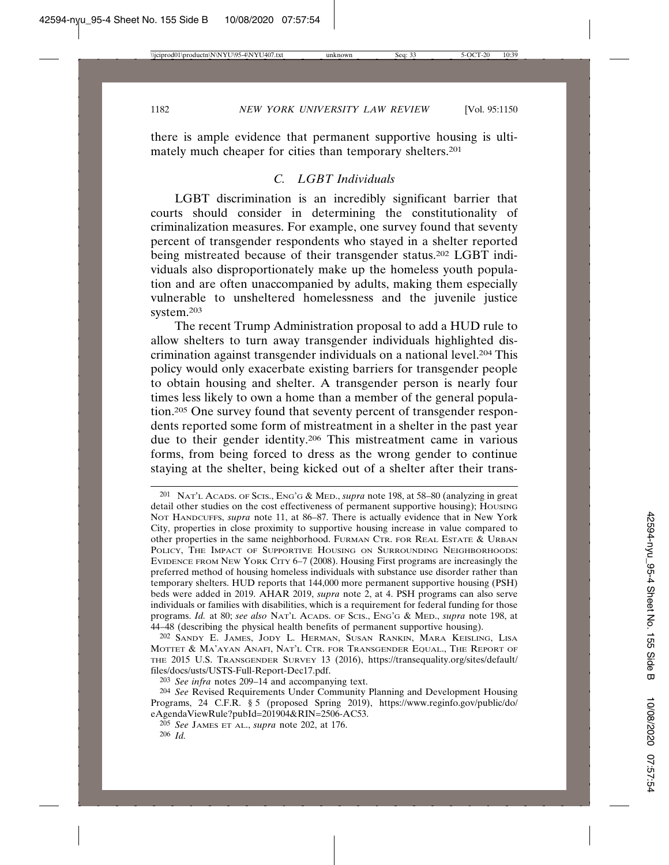there is ample evidence that permanent supportive housing is ultimately much cheaper for cities than temporary shelters.201

### *C. LGBT Individuals*

LGBT discrimination is an incredibly significant barrier that courts should consider in determining the constitutionality of criminalization measures. For example, one survey found that seventy percent of transgender respondents who stayed in a shelter reported being mistreated because of their transgender status.<sup>202</sup> LGBT individuals also disproportionately make up the homeless youth population and are often unaccompanied by adults, making them especially vulnerable to unsheltered homelessness and the juvenile justice system.203

The recent Trump Administration proposal to add a HUD rule to allow shelters to turn away transgender individuals highlighted discrimination against transgender individuals on a national level.204 This policy would only exacerbate existing barriers for transgender people to obtain housing and shelter. A transgender person is nearly four times less likely to own a home than a member of the general population.205 One survey found that seventy percent of transgender respondents reported some form of mistreatment in a shelter in the past year due to their gender identity.206 This mistreatment came in various forms, from being forced to dress as the wrong gender to continue staying at the shelter, being kicked out of a shelter after their trans-

202 SANDY E. JAMES, JODY L. HERMAN, SUSAN RANKIN, MARA KEISLING, LISA MOTTET & MA'AYAN ANAFI, NAT'L CTR. FOR TRANSGENDER EQUAL., THE REPORT OF THE 2015 U.S. TRANSGENDER SURVEY 13 (2016), https://transequality.org/sites/default/ files/docs/usts/USTS-Full-Report-Dec17.pdf.

<sup>201</sup> NAT'L ACADS. OF SCIS., ENG'G & MED., *supra* note 198, at 58–80 (analyzing in great detail other studies on the cost effectiveness of permanent supportive housing); HOUSING NOT HANDCUFFS, *supra* note 11, at 86–87. There is actually evidence that in New York City, properties in close proximity to supportive housing increase in value compared to other properties in the same neighborhood. FURMAN CTR. FOR REAL ESTATE & URBAN POLICY, THE IMPACT OF SUPPORTIVE HOUSING ON SURROUNDING NEIGHBORHOODS: EVIDENCE FROM NEW YORK CITY 6–7 (2008). Housing First programs are increasingly the preferred method of housing homeless individuals with substance use disorder rather than temporary shelters. HUD reports that 144,000 more permanent supportive housing (PSH) beds were added in 2019. AHAR 2019, *supra* note 2, at 4. PSH programs can also serve individuals or families with disabilities, which is a requirement for federal funding for those programs. *Id.* at 80; *see also* NAT'L ACADS. OF SCIS., ENG'G & MED., *supra* note 198, at 44–48 (describing the physical health benefits of permanent supportive housing).

<sup>203</sup> *See infra* notes 209–14 and accompanying text.

<sup>204</sup> *See* Revised Requirements Under Community Planning and Development Housing Programs, 24 C.F.R. § 5 (proposed Spring 2019), https://www.reginfo.gov/public/do/ eAgendaViewRule?pubId=201904&RIN=2506-AC53.

<sup>205</sup> *See* JAMES ET AL., *supra* note 202, at 176. 206 *Id.*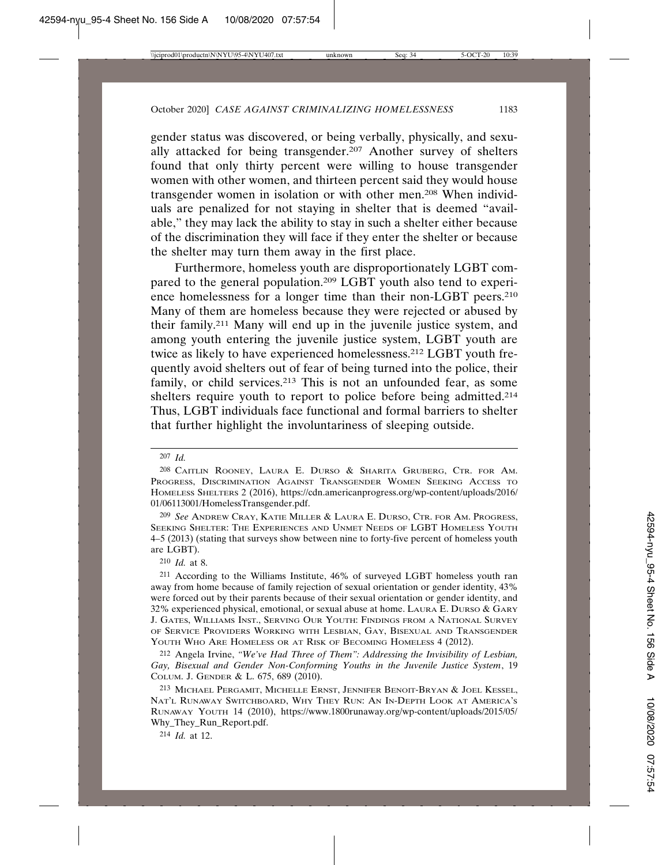gender status was discovered, or being verbally, physically, and sexually attacked for being transgender.207 Another survey of shelters found that only thirty percent were willing to house transgender women with other women, and thirteen percent said they would house transgender women in isolation or with other men.208 When individuals are penalized for not staying in shelter that is deemed "available," they may lack the ability to stay in such a shelter either because of the discrimination they will face if they enter the shelter or because the shelter may turn them away in the first place.

Furthermore, homeless youth are disproportionately LGBT compared to the general population.209 LGBT youth also tend to experience homelessness for a longer time than their non-LGBT peers.210 Many of them are homeless because they were rejected or abused by their family.211 Many will end up in the juvenile justice system, and among youth entering the juvenile justice system, LGBT youth are twice as likely to have experienced homelessness.212 LGBT youth frequently avoid shelters out of fear of being turned into the police, their family, or child services.<sup>213</sup> This is not an unfounded fear, as some shelters require youth to report to police before being admitted.<sup>214</sup> Thus, LGBT individuals face functional and formal barriers to shelter that further highlight the involuntariness of sleeping outside.

210 *Id.* at 8.

<sup>207</sup> *Id.*

<sup>208</sup> CAITLIN ROONEY, LAURA E. DURSO & SHARITA GRUBERG, CTR. FOR AM. PROGRESS, DISCRIMINATION AGAINST TRANSGENDER WOMEN SEEKING ACCESS TO HOMELESS SHELTERS 2 (2016), https://cdn.americanprogress.org/wp-content/uploads/2016/ 01/06113001/HomelessTransgender.pdf.

<sup>209</sup> *See* ANDREW CRAY, KATIE MILLER & LAURA E. DURSO, CTR. FOR AM. PROGRESS, SEEKING SHELTER: THE EXPERIENCES AND UNMET NEEDS OF LGBT HOMELESS YOUTH 4–5 (2013) (stating that surveys show between nine to forty-five percent of homeless youth are LGBT).

<sup>211</sup> According to the Williams Institute, 46% of surveyed LGBT homeless youth ran away from home because of family rejection of sexual orientation or gender identity, 43% were forced out by their parents because of their sexual orientation or gender identity, and 32% experienced physical, emotional, or sexual abuse at home. LAURA E. DURSO & GARY J. GATES, WILLIAMS INST., SERVING OUR YOUTH: FINDINGS FROM A NATIONAL SURVEY OF SERVICE PROVIDERS WORKING WITH LESBIAN, GAY, BISEXUAL AND TRANSGENDER YOUTH WHO ARE HOMELESS OR AT RISK OF BECOMING HOMELESS 4 (2012).

<sup>212</sup> Angela Irvine, *"We've Had Three of Them": Addressing the Invisibility of Lesbian, Gay, Bisexual and Gender Non-Conforming Youths in the Juvenile Justice System*, 19 COLUM. J. GENDER & L. 675, 689 (2010).

<sup>213</sup> MICHAEL PERGAMIT, MICHELLE ERNST, JENNIFER BENOIT-BRYAN & JOEL KESSEL, NAT'L RUNAWAY SWITCHBOARD, WHY THEY RUN: AN IN-DEPTH LOOK AT AMERICA'S RUNAWAY YOUTH 14 (2010), https://www.1800runaway.org/wp-content/uploads/2015/05/ Why\_They\_Run\_Report.pdf.

<sup>214</sup> *Id.* at 12.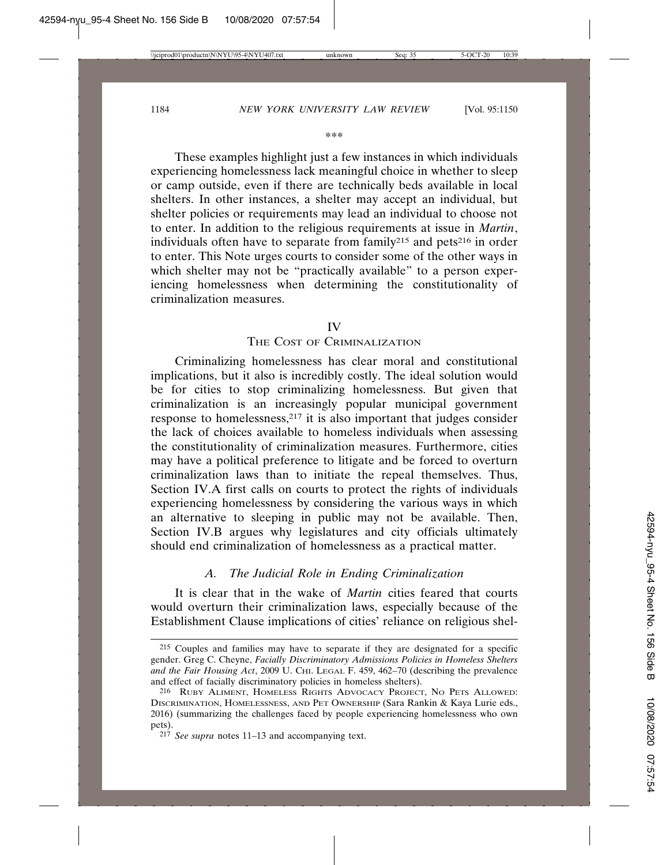#### \*\*\*

These examples highlight just a few instances in which individuals experiencing homelessness lack meaningful choice in whether to sleep or camp outside, even if there are technically beds available in local shelters. In other instances, a shelter may accept an individual, but shelter policies or requirements may lead an individual to choose not to enter. In addition to the religious requirements at issue in *Martin*, individuals often have to separate from family<sup>215</sup> and pets<sup>216</sup> in order to enter. This Note urges courts to consider some of the other ways in which shelter may not be "practically available" to a person experiencing homelessness when determining the constitutionality of criminalization measures.

#### IV

#### THE COST OF CRIMINALIZATION

Criminalizing homelessness has clear moral and constitutional implications, but it also is incredibly costly. The ideal solution would be for cities to stop criminalizing homelessness. But given that criminalization is an increasingly popular municipal government response to homelessness,217 it is also important that judges consider the lack of choices available to homeless individuals when assessing the constitutionality of criminalization measures. Furthermore, cities may have a political preference to litigate and be forced to overturn criminalization laws than to initiate the repeal themselves. Thus, Section IV.A first calls on courts to protect the rights of individuals experiencing homelessness by considering the various ways in which an alternative to sleeping in public may not be available. Then, Section IV.B argues why legislatures and city officials ultimately should end criminalization of homelessness as a practical matter.

#### *A. The Judicial Role in Ending Criminalization*

It is clear that in the wake of *Martin* cities feared that courts would overturn their criminalization laws, especially because of the Establishment Clause implications of cities' reliance on religious shel-

<sup>215</sup> Couples and families may have to separate if they are designated for a specific gender. Greg C. Cheyne, *Facially Discriminatory Admissions Policies in Homeless Shelters* and the Fair Housing Act, 2009 U. CHI. LEGAL F. 459, 462-70 (describing the prevalence and effect of facially discriminatory policies in homeless shelters).

<sup>216</sup> RUBY ALIMENT, HOMELESS RIGHTS ADVOCACY PROJECT, NO PETS ALLOWED: DISCRIMINATION, HOMELESSNESS, AND PET OWNERSHIP (Sara Rankin & Kaya Lurie eds., 2016) (summarizing the challenges faced by people experiencing homelessness who own pets).

<sup>217</sup> *See supra* notes 11–13 and accompanying text.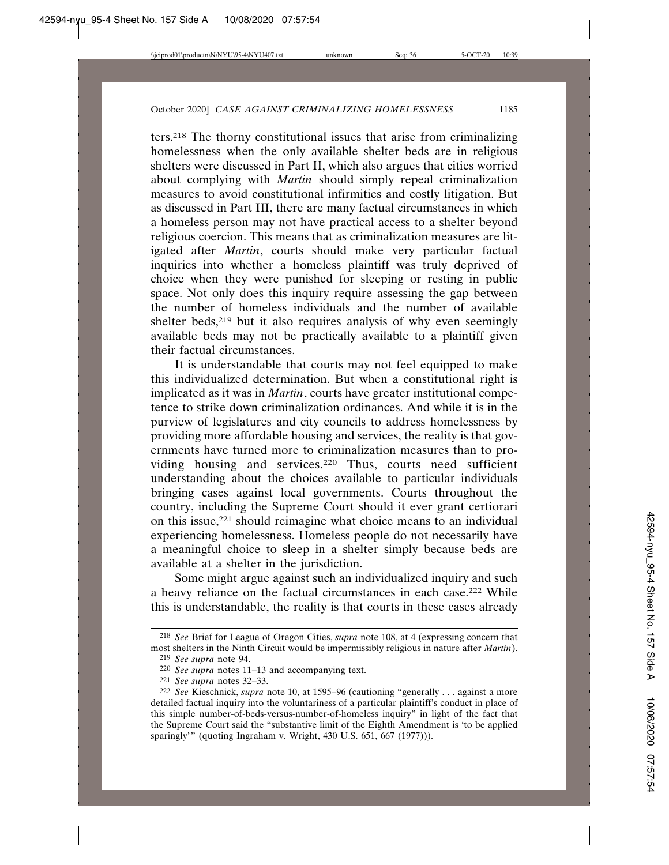ters.218 The thorny constitutional issues that arise from criminalizing homelessness when the only available shelter beds are in religious shelters were discussed in Part II, which also argues that cities worried about complying with *Martin* should simply repeal criminalization measures to avoid constitutional infirmities and costly litigation. But as discussed in Part III, there are many factual circumstances in which a homeless person may not have practical access to a shelter beyond religious coercion. This means that as criminalization measures are litigated after *Martin*, courts should make very particular factual inquiries into whether a homeless plaintiff was truly deprived of choice when they were punished for sleeping or resting in public space. Not only does this inquiry require assessing the gap between the number of homeless individuals and the number of available shelter beds,<sup>219</sup> but it also requires analysis of why even seemingly available beds may not be practically available to a plaintiff given their factual circumstances.

It is understandable that courts may not feel equipped to make this individualized determination. But when a constitutional right is implicated as it was in *Martin*, courts have greater institutional competence to strike down criminalization ordinances. And while it is in the purview of legislatures and city councils to address homelessness by providing more affordable housing and services, the reality is that governments have turned more to criminalization measures than to providing housing and services.220 Thus, courts need sufficient understanding about the choices available to particular individuals bringing cases against local governments. Courts throughout the country, including the Supreme Court should it ever grant certiorari on this issue,221 should reimagine what choice means to an individual experiencing homelessness. Homeless people do not necessarily have a meaningful choice to sleep in a shelter simply because beds are available at a shelter in the jurisdiction.

Some might argue against such an individualized inquiry and such a heavy reliance on the factual circumstances in each case.222 While this is understandable, the reality is that courts in these cases already

<sup>218</sup> *See* Brief for League of Oregon Cities, *supra* note 108, at 4 (expressing concern that most shelters in the Ninth Circuit would be impermissibly religious in nature after *Martin*).

<sup>219</sup> *See supra* note 94.

<sup>220</sup> *See supra* notes 11–13 and accompanying text.

<sup>221</sup> *See supra* notes 32–33.

<sup>222</sup> *See* Kieschnick, *supra* note 10, at 1595–96 (cautioning "generally . . . against a more detailed factual inquiry into the voluntariness of a particular plaintiff's conduct in place of this simple number-of-beds-versus-number-of-homeless inquiry" in light of the fact that the Supreme Court said the "substantive limit of the Eighth Amendment is 'to be applied sparingly'" (quoting Ingraham v. Wright, 430 U.S. 651, 667 (1977))).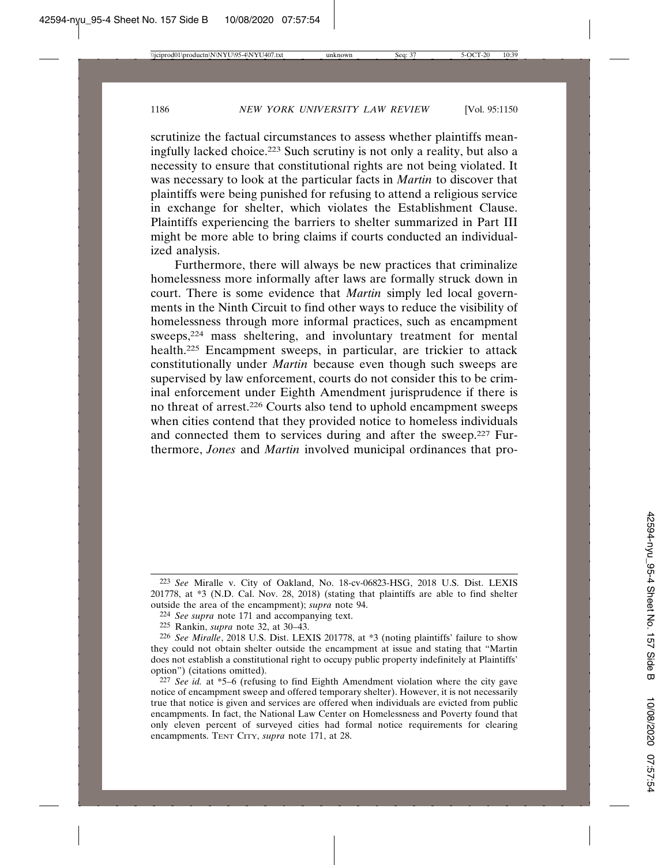scrutinize the factual circumstances to assess whether plaintiffs meaningfully lacked choice.223 Such scrutiny is not only a reality, but also a necessity to ensure that constitutional rights are not being violated. It was necessary to look at the particular facts in *Martin* to discover that plaintiffs were being punished for refusing to attend a religious service in exchange for shelter, which violates the Establishment Clause. Plaintiffs experiencing the barriers to shelter summarized in Part III might be more able to bring claims if courts conducted an individualized analysis.

Furthermore, there will always be new practices that criminalize homelessness more informally after laws are formally struck down in court. There is some evidence that *Martin* simply led local governments in the Ninth Circuit to find other ways to reduce the visibility of homelessness through more informal practices, such as encampment sweeps,224 mass sheltering, and involuntary treatment for mental health.225 Encampment sweeps, in particular, are trickier to attack constitutionally under *Martin* because even though such sweeps are supervised by law enforcement, courts do not consider this to be criminal enforcement under Eighth Amendment jurisprudence if there is no threat of arrest.226 Courts also tend to uphold encampment sweeps when cities contend that they provided notice to homeless individuals and connected them to services during and after the sweep.227 Furthermore, *Jones* and *Martin* involved municipal ordinances that pro-

<sup>223</sup> *See* Miralle v. City of Oakland, No. 18-cv-06823-HSG, 2018 U.S. Dist. LEXIS 201778, at \*3 (N.D. Cal. Nov. 28, 2018) (stating that plaintiffs are able to find shelter outside the area of the encampment); *supra* note 94.

<sup>224</sup> *See supra* note 171 and accompanying text.

<sup>225</sup> Rankin, *supra* note 32, at 30–43.

<sup>226</sup> *See Miralle*, 2018 U.S. Dist. LEXIS 201778, at \*3 (noting plaintiffs' failure to show they could not obtain shelter outside the encampment at issue and stating that "Martin does not establish a constitutional right to occupy public property indefinitely at Plaintiffs' option") (citations omitted).

<sup>227</sup> *See id.* at \*5–6 (refusing to find Eighth Amendment violation where the city gave notice of encampment sweep and offered temporary shelter). However, it is not necessarily true that notice is given and services are offered when individuals are evicted from public encampments. In fact, the National Law Center on Homelessness and Poverty found that only eleven percent of surveyed cities had formal notice requirements for clearing encampments. TENT CITY, *supra* note 171, at 28.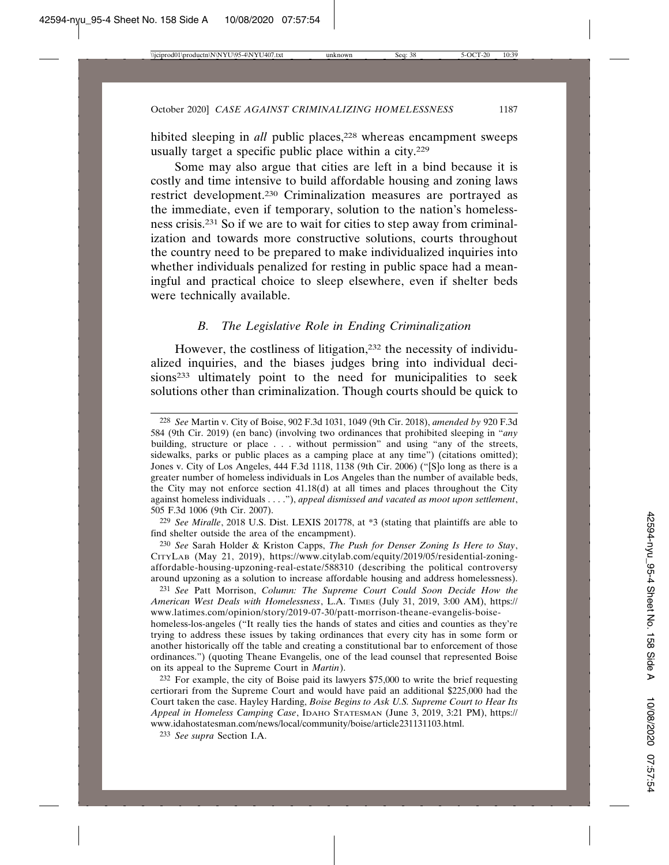hibited sleeping in *all* public places,<sup>228</sup> whereas encampment sweeps usually target a specific public place within a city.229

Some may also argue that cities are left in a bind because it is costly and time intensive to build affordable housing and zoning laws restrict development.230 Criminalization measures are portrayed as the immediate, even if temporary, solution to the nation's homelessness crisis.231 So if we are to wait for cities to step away from criminalization and towards more constructive solutions, courts throughout the country need to be prepared to make individualized inquiries into whether individuals penalized for resting in public space had a meaningful and practical choice to sleep elsewhere, even if shelter beds were technically available.

### *B. The Legislative Role in Ending Criminalization*

However, the costliness of litigation,<sup>232</sup> the necessity of individualized inquiries, and the biases judges bring into individual decisions<sup>233</sup> ultimately point to the need for municipalities to seek solutions other than criminalization. Though courts should be quick to

229 *See Miralle*, 2018 U.S. Dist. LEXIS 201778, at \*3 (stating that plaintiffs are able to find shelter outside the area of the encampment).

230 *See* Sarah Holder & Kriston Capps, *The Push for Denser Zoning Is Here to Stay*, CITYLAB (May 21, 2019), https://www.citylab.com/equity/2019/05/residential-zoningaffordable-housing-upzoning-real-estate/588310 (describing the political controversy around upzoning as a solution to increase affordable housing and address homelessness).

231 *See* Patt Morrison, *Column: The Supreme Court Could Soon Decide How the American West Deals with Homelessness*, L.A. TIMES (July 31, 2019, 3:00 AM), https:// www.latimes.com/opinion/story/2019-07-30/patt-morrison-theane-evangelis-boisehomeless-los-angeles ("It really ties the hands of states and cities and counties as they're trying to address these issues by taking ordinances that every city has in some form or another historically off the table and creating a constitutional bar to enforcement of those ordinances.") (quoting Theane Evangelis, one of the lead counsel that represented Boise on its appeal to the Supreme Court in *Martin*).

232 For example, the city of Boise paid its lawyers \$75,000 to write the brief requesting certiorari from the Supreme Court and would have paid an additional \$225,000 had the Court taken the case. Hayley Harding, *Boise Begins to Ask U.S. Supreme Court to Hear Its Appeal in Homeless Camping Case*, IDAHO STATESMAN (June 3, 2019, 3:21 PM), https:// www.idahostatesman.com/news/local/community/boise/article231131103.html.

233 *See supra* Section I.A.

<sup>228</sup> *See* Martin v. City of Boise, 902 F.3d 1031, 1049 (9th Cir. 2018), *amended by* 920 F.3d 584 (9th Cir. 2019) (en banc) (involving two ordinances that prohibited sleeping in "*any* building, structure or place . . . without permission" and using "any of the streets, sidewalks, parks or public places as a camping place at any time") (citations omitted); Jones v. City of Los Angeles, 444 F.3d 1118, 1138 (9th Cir. 2006) ("[S]o long as there is a greater number of homeless individuals in Los Angeles than the number of available beds, the City may not enforce section 41.18(d) at all times and places throughout the City against homeless individuals . . . ."), *appeal dismissed and vacated as moot upon settlement*, 505 F.3d 1006 (9th Cir. 2007).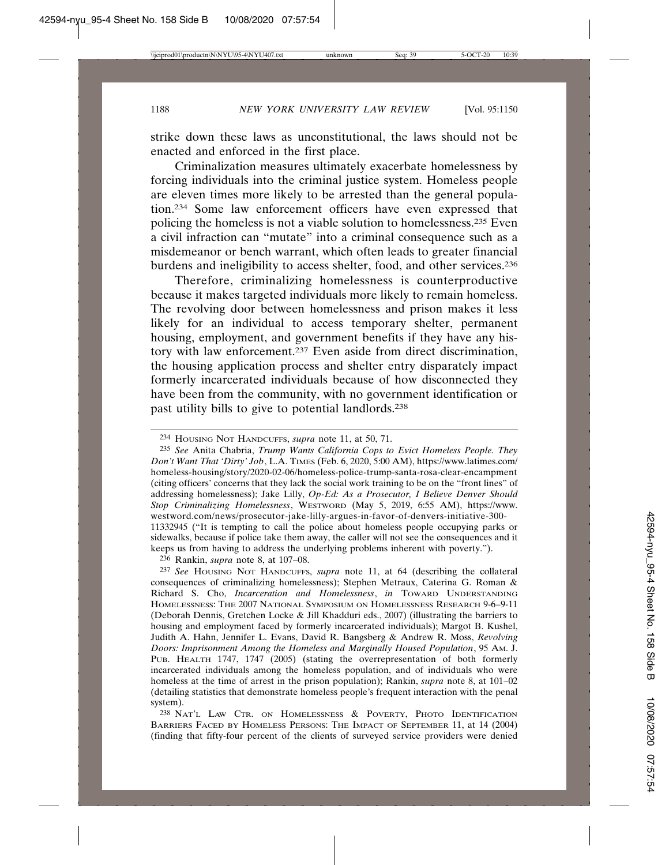strike down these laws as unconstitutional, the laws should not be enacted and enforced in the first place.

Criminalization measures ultimately exacerbate homelessness by forcing individuals into the criminal justice system. Homeless people are eleven times more likely to be arrested than the general population.234 Some law enforcement officers have even expressed that policing the homeless is not a viable solution to homelessness.235 Even a civil infraction can "mutate" into a criminal consequence such as a misdemeanor or bench warrant, which often leads to greater financial burdens and ineligibility to access shelter, food, and other services.236

Therefore, criminalizing homelessness is counterproductive because it makes targeted individuals more likely to remain homeless. The revolving door between homelessness and prison makes it less likely for an individual to access temporary shelter, permanent housing, employment, and government benefits if they have any history with law enforcement.237 Even aside from direct discrimination, the housing application process and shelter entry disparately impact formerly incarcerated individuals because of how disconnected they have been from the community, with no government identification or past utility bills to give to potential landlords.238

236 Rankin, *supra* note 8, at 107–08.

237 *See* HOUSING NOT HANDCUFFS, *supra* note 11, at 64 (describing the collateral consequences of criminalizing homelessness); Stephen Metraux, Caterina G. Roman & Richard S. Cho, *Incarceration and Homelessness*, *in* TOWARD UNDERSTANDING HOMELESSNESS: THE 2007 NATIONAL SYMPOSIUM ON HOMELESSNESS RESEARCH 9-6–9-11 (Deborah Dennis, Gretchen Locke & Jill Khadduri eds., 2007) (illustrating the barriers to housing and employment faced by formerly incarcerated individuals); Margot B. Kushel, Judith A. Hahn, Jennifer L. Evans, David R. Bangsberg & Andrew R. Moss, *Revolving Doors: Imprisonment Among the Homeless and Marginally Housed Population*, 95 AM. J. PUB. HEALTH 1747, 1747 (2005) (stating the overrepresentation of both formerly incarcerated individuals among the homeless population, and of individuals who were homeless at the time of arrest in the prison population); Rankin, *supra* note 8, at 101–02 (detailing statistics that demonstrate homeless people's frequent interaction with the penal system).

238 NAT'L LAW CTR. ON HOMELESSNESS & POVERTY, PHOTO IDENTIFICATION BARRIERS FACED BY HOMELESS PERSONS: THE IMPACT OF SEPTEMBER 11, at 14 (2004) (finding that fifty-four percent of the clients of surveyed service providers were denied

<sup>234</sup> HOUSING NOT HANDCUFFS, *supra* note 11, at 50, 71.

<sup>235</sup> *See* Anita Chabria, *Trump Wants California Cops to Evict Homeless People. They Don't Want That 'Dirty' Job*, L.A. TIMES (Feb. 6, 2020, 5:00 AM), https://www.latimes.com/ homeless-housing/story/2020-02-06/homeless-police-trump-santa-rosa-clear-encampment (citing officers' concerns that they lack the social work training to be on the "front lines" of addressing homelessness); Jake Lilly, *Op-Ed: As a Prosecutor, I Believe Denver Should Stop Criminalizing Homelessness*, WESTWORD (May 5, 2019, 6:55 AM), https://www. westword.com/news/prosecutor-jake-lilly-argues-in-favor-of-denvers-initiative-300- 11332945 ("It is tempting to call the police about homeless people occupying parks or sidewalks, because if police take them away, the caller will not see the consequences and it keeps us from having to address the underlying problems inherent with poverty.").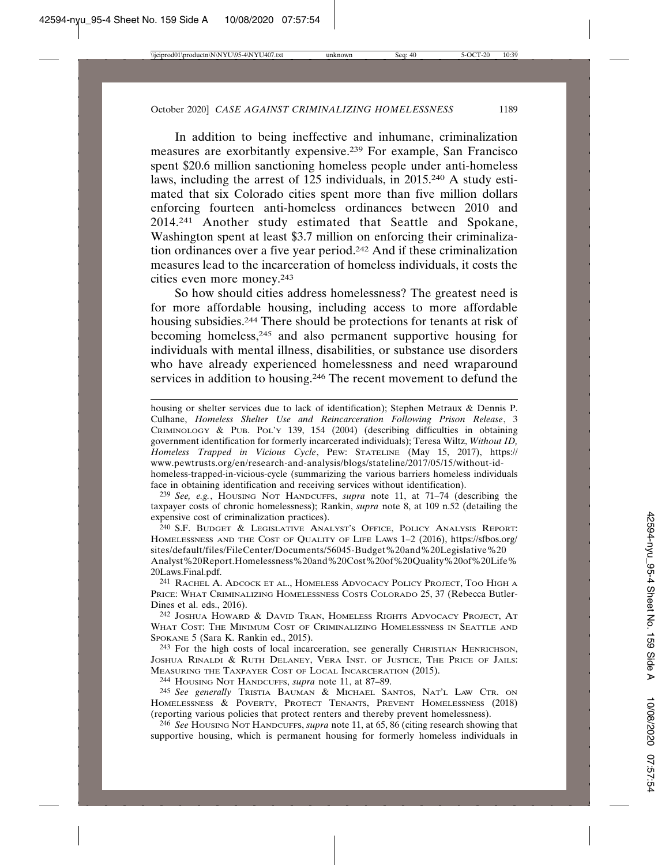In addition to being ineffective and inhumane, criminalization measures are exorbitantly expensive.239 For example, San Francisco spent \$20.6 million sanctioning homeless people under anti-homeless laws, including the arrest of 125 individuals, in 2015.240 A study estimated that six Colorado cities spent more than five million dollars enforcing fourteen anti-homeless ordinances between 2010 and 2014.241 Another study estimated that Seattle and Spokane, Washington spent at least \$3.7 million on enforcing their criminalization ordinances over a five year period.242 And if these criminalization measures lead to the incarceration of homeless individuals, it costs the cities even more money.243

So how should cities address homelessness? The greatest need is for more affordable housing, including access to more affordable housing subsidies.244 There should be protections for tenants at risk of becoming homeless,245 and also permanent supportive housing for individuals with mental illness, disabilities, or substance use disorders who have already experienced homelessness and need wraparound services in addition to housing.246 The recent movement to defund the

239 *See, e.g.*, HOUSING NOT HANDCUFFS, *supra* note 11, at 71–74 (describing the taxpayer costs of chronic homelessness); Rankin, *supra* note 8, at 109 n.52 (detailing the expensive cost of criminalization practices).

240 S.F. BUDGET & LEGISLATIVE ANALYST'S OFFICE, POLICY ANALYSIS REPORT: HOMELESSNESS AND THE COST OF QUALITY OF LIFE LAWS 1–2 (2016), https://sfbos.org/ sites/default/files/FileCenter/Documents/56045-Budget%20and%20Legislative%20 Analyst%20Report.Homelessness%20and%20Cost%20of%20Quality%20of%20Life% 20Laws.Final.pdf.

241 RACHEL A. ADCOCK ET AL., HOMELESS ADVOCACY POLICY PROJECT, TOO HIGH A PRICE: WHAT CRIMINALIZING HOMELESSNESS COSTS COLORADO 25, 37 (Rebecca Butler-Dines et al. eds., 2016).

242 JOSHUA HOWARD & DAVID TRAN, HOMELESS RIGHTS ADVOCACY PROJECT, AT WHAT COST: THE MINIMUM COST OF CRIMINALIZING HOMELESSNESS IN SEATTLE AND SPOKANE 5 (Sara K. Rankin ed., 2015).

243 For the high costs of local incarceration, see generally CHRISTIAN HENRICHSON, JOSHUA RINALDI & RUTH DELANEY, VERA INST. OF JUSTICE, THE PRICE OF JAILS: MEASURING THE TAXPAYER COST OF LOCAL INCARCERATION (2015).

244 HOUSING NOT HANDCUFFS, *supra* note 11, at 87–89.

245 *See generally* TRISTIA BAUMAN & MICHAEL SANTOS, NAT'L LAW CTR. ON HOMELESSNESS & POVERTY, PROTECT TENANTS, PREVENT HOMELESSNESS (2018) (reporting various policies that protect renters and thereby prevent homelessness).

246 *See* HOUSING NOT HANDCUFFS, *supra* note 11, at 65, 86 (citing research showing that supportive housing, which is permanent housing for formerly homeless individuals in

housing or shelter services due to lack of identification); Stephen Metraux & Dennis P. Culhane, *Homeless Shelter Use and Reincarceration Following Prison Release*, 3 CRIMINOLOGY & PUB. POL'Y 139, 154 (2004) (describing difficulties in obtaining government identification for formerly incarcerated individuals); Teresa Wiltz, *Without ID, Homeless Trapped in Vicious Cycle*, PEW: STATELINE (May 15, 2017), https:// www.pewtrusts.org/en/research-and-analysis/blogs/stateline/2017/05/15/without-idhomeless-trapped-in-vicious-cycle (summarizing the various barriers homeless individuals face in obtaining identification and receiving services without identification).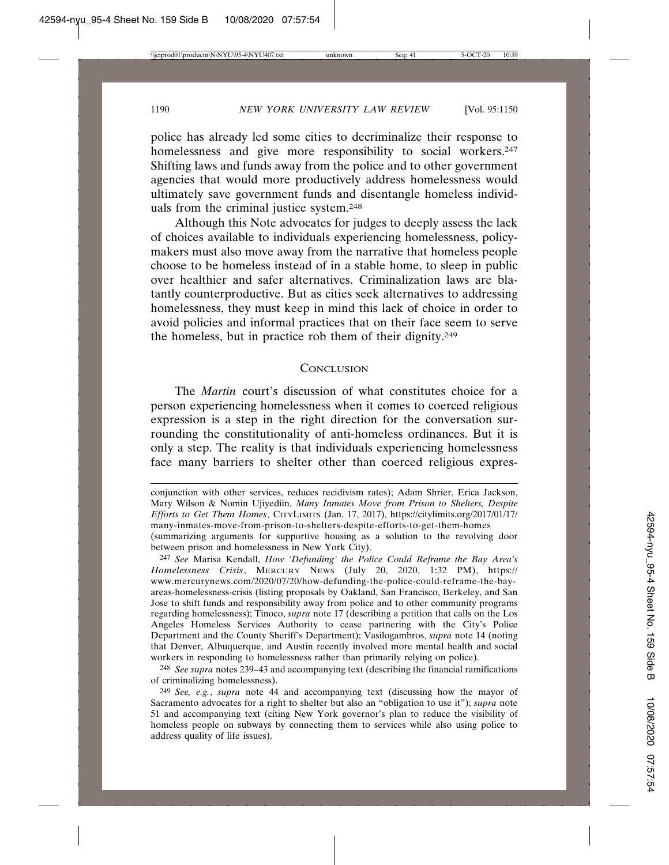police has already led some cities to decriminalize their response to homelessness and give more responsibility to social workers.<sup>247</sup> Shifting laws and funds away from the police and to other government agencies that would more productively address homelessness would ultimately save government funds and disentangle homeless individuals from the criminal justice system.248

Although this Note advocates for judges to deeply assess the lack of choices available to individuals experiencing homelessness, policymakers must also move away from the narrative that homeless people choose to be homeless instead of in a stable home, to sleep in public over healthier and safer alternatives. Criminalization laws are blatantly counterproductive. But as cities seek alternatives to addressing homelessness, they must keep in mind this lack of choice in order to avoid policies and informal practices that on their face seem to serve the homeless, but in practice rob them of their dignity.249

#### **CONCLUSION**

The *Martin* court's discussion of what constitutes choice for a person experiencing homelessness when it comes to coerced religious expression is a step in the right direction for the conversation surrounding the constitutionality of anti-homeless ordinances. But it is only a step. The reality is that individuals experiencing homelessness face many barriers to shelter other than coerced religious expres-

248 *See supra* notes 239–43 and accompanying text (describing the financial ramifications of criminalizing homelessness).

conjunction with other services, reduces recidivism rates); Adam Shrier, Erica Jackson, Mary Wilson & Nomin Ujiyediin, *Many Inmates Move from Prison to Shelters, Despite Efforts to Get Them Homes*, CITYLIMITS (Jan. 17, 2017), https://citylimits.org/2017/01/17/ many-inmates-move-from-prison-to-shelters-despite-efforts-to-get-them-homes

<sup>(</sup>summarizing arguments for supportive housing as a solution to the revolving door between prison and homelessness in New York City).

<sup>247</sup> *See* Marisa Kendall, *How 'Defunding' the Police Could Reframe the Bay Area's Homelessness Crisis*, MERCURY NEWS (July 20, 2020, 1:32 PM), https:// www.mercurynews.com/2020/07/20/how-defunding-the-police-could-reframe-the-bayareas-homelessness-crisis (listing proposals by Oakland, San Francisco, Berkeley, and San Jose to shift funds and responsibility away from police and to other community programs regarding homelessness); Tinoco, *supra* note 17 (describing a petition that calls on the Los Angeles Homeless Services Authority to cease partnering with the City's Police Department and the County Sheriff's Department); Vasilogambros, *supra* note 14 (noting that Denver, Albuquerque, and Austin recently involved more mental health and social workers in responding to homelessness rather than primarily relying on police).

<sup>249</sup> *See, e.g.*, *supra* note 44 and accompanying text (discussing how the mayor of Sacramento advocates for a right to shelter but also an "obligation to use it"); *supra* note 51 and accompanying text (citing New York governor's plan to reduce the visibility of homeless people on subways by connecting them to services while also using police to address quality of life issues).